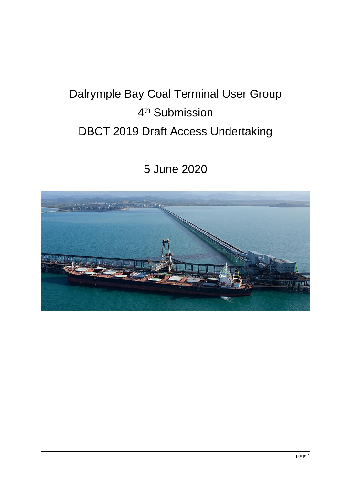# Dalrymple Bay Coal Terminal User Group 4<sup>th</sup> Submission DBCT 2019 Draft Access Undertaking

5 June 2020

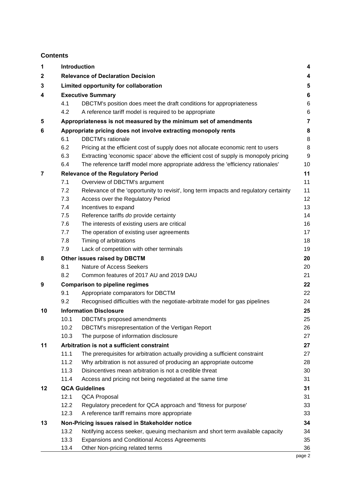## **Contents**

| 1  |                                            | Introduction<br>4                                                                     |                |  |  |  |  |  |  |
|----|--------------------------------------------|---------------------------------------------------------------------------------------|----------------|--|--|--|--|--|--|
| 2  |                                            | <b>Relevance of Declaration Decision</b>                                              |                |  |  |  |  |  |  |
| 3  |                                            | Limited opportunity for collaboration                                                 |                |  |  |  |  |  |  |
| 4  | <b>Executive Summary</b>                   |                                                                                       |                |  |  |  |  |  |  |
|    | 4.1                                        | DBCTM's position does meet the draft conditions for appropriateness                   | 6              |  |  |  |  |  |  |
|    | 4.2                                        | A reference tariff model is required to be appropriate                                | 6              |  |  |  |  |  |  |
| 5  |                                            | Appropriateness is not measured by the minimum set of amendments                      | $\overline{7}$ |  |  |  |  |  |  |
| 6  |                                            | Appropriate pricing does not involve extracting monopoly rents                        | 8              |  |  |  |  |  |  |
|    | 6.1                                        | <b>DBCTM's rationale</b>                                                              | 8              |  |  |  |  |  |  |
|    | 6.2                                        | Pricing at the efficient cost of supply does not allocate economic rent to users      | 8              |  |  |  |  |  |  |
|    | 6.3                                        | Extracting 'economic space' above the efficient cost of supply is monopoly pricing    | 9              |  |  |  |  |  |  |
|    | 6.4                                        | The reference tariff model more appropriate address the 'efficiency rationales'       | 10             |  |  |  |  |  |  |
| 7  |                                            | <b>Relevance of the Regulatory Period</b>                                             | 11             |  |  |  |  |  |  |
|    | 7.1                                        | Overview of DBCTM's argument                                                          | 11             |  |  |  |  |  |  |
|    | 7.2                                        | Relevance of the 'opportunity to revisit', long term impacts and regulatory certainty | 11             |  |  |  |  |  |  |
|    | 7.3                                        | Access over the Regulatory Period                                                     | 12             |  |  |  |  |  |  |
|    | 7.4                                        | Incentives to expand                                                                  | 13             |  |  |  |  |  |  |
|    | 7.5                                        | Reference tariffs do provide certainty                                                | 14             |  |  |  |  |  |  |
|    | 7.6                                        | The interests of existing users are critical                                          | 16             |  |  |  |  |  |  |
|    | 7.7                                        | The operation of existing user agreements                                             | 17             |  |  |  |  |  |  |
|    | 7.8                                        | Timing of arbitrations                                                                | 18             |  |  |  |  |  |  |
|    | 7.9                                        | Lack of competition with other terminals                                              | 19             |  |  |  |  |  |  |
| 8  |                                            | Other issues raised by DBCTM                                                          | 20             |  |  |  |  |  |  |
|    | 8.1                                        | Nature of Access Seekers                                                              | 20             |  |  |  |  |  |  |
|    | 8.2                                        | Common features of 2017 AU and 2019 DAU                                               | 21             |  |  |  |  |  |  |
| 9  |                                            | <b>Comparison to pipeline regimes</b>                                                 | 22             |  |  |  |  |  |  |
|    | 9.1                                        | Appropriate comparators for DBCTM                                                     | 22             |  |  |  |  |  |  |
|    | 9.2                                        | Recognised difficulties with the negotiate-arbitrate model for gas pipelines          | 24             |  |  |  |  |  |  |
| 10 |                                            | <b>Information Disclosure</b>                                                         | 25             |  |  |  |  |  |  |
|    | 10.1                                       | DBCTM's proposed amendments                                                           | 25             |  |  |  |  |  |  |
|    | 10.2                                       | DBCTM's misrepresentation of the Vertigan Report                                      | 26             |  |  |  |  |  |  |
|    | 10.3                                       | The purpose of information disclosure                                                 | 27             |  |  |  |  |  |  |
| 11 | Arbitration is not a sufficient constraint |                                                                                       |                |  |  |  |  |  |  |
|    | 11.1                                       | The prerequisites for arbitration actually providing a sufficient constraint          | 27             |  |  |  |  |  |  |
|    | 11.2                                       | Why arbitration is not assured of producing an appropriate outcome                    | 28             |  |  |  |  |  |  |
|    | 11.3                                       | Disincentives mean arbitration is not a credible threat                               | 30             |  |  |  |  |  |  |
|    | 11.4                                       | Access and pricing not being negotiated at the same time                              | 31             |  |  |  |  |  |  |
| 12 | <b>QCA Guidelines</b>                      |                                                                                       |                |  |  |  |  |  |  |
|    | 12.1                                       | QCA Proposal                                                                          | 31             |  |  |  |  |  |  |
|    | 12.2                                       | Regulatory precedent for QCA approach and 'fitness for purpose'                       | 33             |  |  |  |  |  |  |
|    | 12.3                                       | A reference tariff remains more appropriate                                           | 33             |  |  |  |  |  |  |
| 13 |                                            | Non-Pricing issues raised in Stakeholder notice                                       | 34             |  |  |  |  |  |  |
|    | 13.2                                       | Notifying access seeker, queuing mechanism and short term available capacity          | 34             |  |  |  |  |  |  |
|    | 13.3                                       | <b>Expansions and Conditional Access Agreements</b>                                   | 35             |  |  |  |  |  |  |
|    | 13.4                                       | Other Non-pricing related terms                                                       | 36             |  |  |  |  |  |  |
|    |                                            |                                                                                       | page 2         |  |  |  |  |  |  |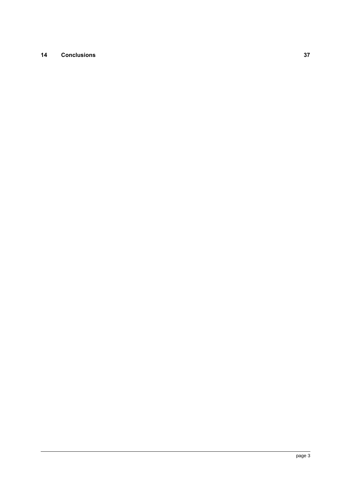## **14 [Conclusions](#page-36-0) 37**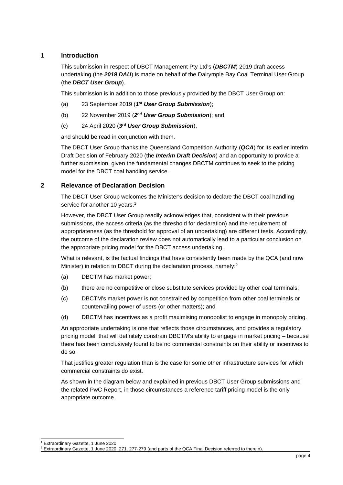## <span id="page-3-0"></span>**1 Introduction**

This submission in respect of DBCT Management Pty Ltd's (*DBCTM*) 2019 draft access undertaking (the *2019 DAU*) is made on behalf of the Dalrymple Bay Coal Terminal User Group (the *DBCT User Group*).

This submission is in addition to those previously provided by the DBCT User Group on:

- (a) 23 September 2019 (*1 st User Group Submission*);
- (b) 22 November 2019 (2<sup>nd</sup> User Group Submission); and
- (c) 24 April 2020 (*3 rd User Group Submission*),

and should be read in conjunction with them.

The DBCT User Group thanks the Queensland Competition Authority (*QCA*) for its earlier Interim Draft Decision of February 2020 (the *Interim Draft Decision*) and an opportunity to provide a further submission, given the fundamental changes DBCTM continues to seek to the pricing model for the DBCT coal handling service.

## <span id="page-3-1"></span>**2 Relevance of Declaration Decision**

The DBCT User Group welcomes the Minister's decision to declare the DBCT coal handling service for another 10 years.<sup>1</sup>

However, the DBCT User Group readily acknowledges that, consistent with their previous submissions, the access criteria (as the threshold for declaration) and the requirement of appropriateness (as the threshold for approval of an undertaking) are different tests. Accordingly, the outcome of the declaration review does not automatically lead to a particular conclusion on the appropriate pricing model for the DBCT access undertaking.

What is relevant, is the factual findings that have consistently been made by the QCA (and now Minister) in relation to DBCT during the declaration process, namely:<sup>2</sup>

- (a) DBCTM has market power;
- (b) there are no competitive or close substitute services provided by other coal terminals;
- (c) DBCTM's market power is not constrained by competition from other coal terminals or countervailing power of users (or other matters); and
- (d) DBCTM has incentives as a profit maximising monopolist to engage in monopoly pricing.

An appropriate undertaking is one that reflects those circumstances, and provides a regulatory pricing model that will definitely constrain DBCTM's ability to engage in market pricing – because there has been conclusively found to be no commercial constraints on their ability or incentives to do so.

That justifies greater regulation than is the case for some other infrastructure services for which commercial constraints do exist.

As shown in the diagram below and explained in previous DBCT User Group submissions and the related PwC Report, in those circumstances a reference tariff pricing model is the only appropriate outcome.

<sup>1</sup> Extraordinary Gazette, 1 June 2020

<sup>&</sup>lt;sup>2</sup> Extraordinary Gazette, 1 June 2020, 271, 277-279 (and parts of the QCA Final Decision referred to therein).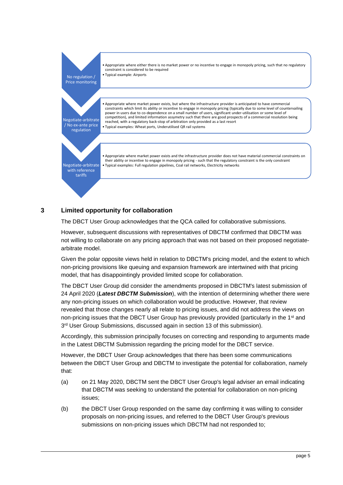

## <span id="page-4-0"></span>**3 Limited opportunity for collaboration**

The DBCT User Group acknowledges that the QCA called for collaborative submissions.

However, subsequent discussions with representatives of DBCTM confirmed that DBCTM was not willing to collaborate on any pricing approach that was not based on their proposed negotiatearbitrate model.

Given the polar opposite views held in relation to DBCTM's pricing model, and the extent to which non-pricing provisions like queuing and expansion framework are intertwined with that pricing model, that has disappointingly provided limited scope for collaboration.

The DBCT User Group did consider the amendments proposed in DBCTM's latest submission of 24 April 2020 (*Latest DBCTM Submission*), with the intention of determining whether there were any non-pricing issues on which collaboration would be productive. However, that review revealed that those changes nearly all relate to pricing issues, and did not address the views on non-pricing issues that the DBCT User Group has previously provided (particularly in the 1<sup>st</sup> and 3<sup>rd</sup> User Group Submissions, discussed again in section [13](#page-33-0) of this submission).

Accordingly, this submission principally focuses on correcting and responding to arguments made in the Latest DBCTM Submission regarding the pricing model for the DBCT service.

However, the DBCT User Group acknowledges that there has been some communications between the DBCT User Group and DBCTM to investigate the potential for collaboration, namely that:

- (a) on 21 May 2020, DBCTM sent the DBCT User Group's legal adviser an email indicating that DBCTM was seeking to understand the potential for collaboration on non-pricing issues;
- (b) the DBCT User Group responded on the same day confirming it was willing to consider proposals on non-pricing issues, and referred to the DBCT User Group's previous submissions on non-pricing issues which DBCTM had not responded to;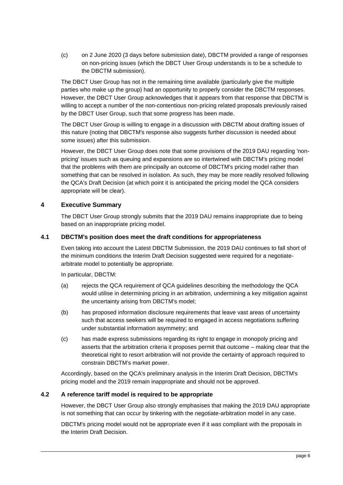(c) on 2 June 2020 (3 days before submission date), DBCTM provided a range of responses on non-pricing issues (which the DBCT User Group understands is to be a schedule to the DBCTM submission).

The DBCT User Group has not in the remaining time available (particularly give the multiple parties who make up the group) had an opportunity to properly consider the DBCTM responses. However, the DBCT User Group acknowledges that it appears from that response that DBCTM is willing to accept a number of the non-contentious non-pricing related proposals previously raised by the DBCT User Group, such that some progress has been made.

The DBCT User Group is willing to engage in a discussion with DBCTM about drafting issues of this nature (noting that DBCTM's response also suggests further discussion is needed about some issues) after this submission.

However, the DBCT User Group does note that some provisions of the 2019 DAU regarding 'nonpricing' issues such as queuing and expansions are so intertwined with DBCTM's pricing model that the problems with them are principally an outcome of DBCTM's pricing model rather than something that can be resolved in isolation. As such, they may be more readily resolved following the QCA's Draft Decision (at which point it is anticipated the pricing model the QCA considers appropriate will be clear).

## <span id="page-5-0"></span>**4 Executive Summary**

The DBCT User Group strongly submits that the 2019 DAU remains inappropriate due to being based on an inappropriate pricing model.

## <span id="page-5-1"></span>**4.1 DBCTM's position does meet the draft conditions for appropriateness**

Even taking into account the Latest DBCTM Submission, the 2019 DAU continues to fall short of the minimum conditions the Interim Draft Decision suggested were required for a negotiatearbitrate model to potentially be appropriate.

In particular, DBCTM:

- (a) rejects the QCA requirement of QCA guidelines describing the methodology the QCA would utilise in determining pricing in an arbitration, undermining a key mitigation against the uncertainty arising from DBCTM's model;
- (b) has proposed information disclosure requirements that leave vast areas of uncertainty such that access seekers will be required to engaged in access negotiations suffering under substantial information asymmetry; and
- (c) has made express submissions regarding its right to engage in monopoly pricing and asserts that the arbitration criteria it proposes permit that outcome – making clear that the theoretical right to resort arbitration will not provide the certainty of approach required to constrain DBCTM's market power.

Accordingly, based on the QCA's preliminary analysis in the Interim Draft Decision, DBCTM's pricing model and the 2019 remain inappropriate and should not be approved.

## <span id="page-5-2"></span>**4.2 A reference tariff model is required to be appropriate**

However, the DBCT User Group also strongly emphasises that making the 2019 DAU appropriate is not something that can occur by tinkering with the negotiate-arbitration model in any case.

DBCTM's pricing model would not be appropriate even if it *was* compliant with the proposals in the Interim Draft Decision.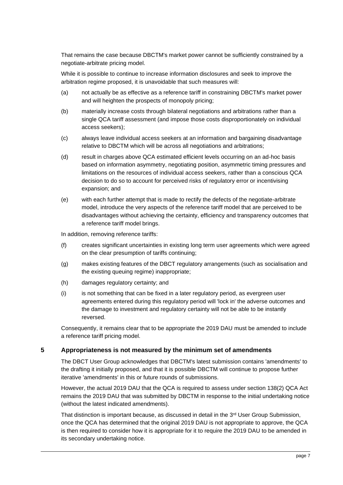That remains the case because DBCTM's market power cannot be sufficiently constrained by a negotiate-arbitrate pricing model.

While it is possible to continue to increase information disclosures and seek to improve the arbitration regime proposed, it is unavoidable that such measures will:

- (a) not actually be as effective as a reference tariff in constraining DBCTM's market power and will heighten the prospects of monopoly pricing;
- (b) materially increase costs through bilateral negotiations and arbitrations rather than a single QCA tariff assessment (and impose those costs disproportionately on individual access seekers);
- (c) always leave individual access seekers at an information and bargaining disadvantage relative to DBCTM which will be across all negotiations and arbitrations;
- (d) result in charges above QCA estimated efficient levels occurring on an ad-hoc basis based on information asymmetry, negotiating position, asymmetric timing pressures and limitations on the resources of individual access seekers, rather than a conscious QCA decision to do so to account for perceived risks of regulatory error or incentivising expansion; and
- (e) with each further attempt that is made to rectify the defects of the negotiate-arbitrate model, introduce the very aspects of the reference tariff model that are perceived to be disadvantages without achieving the certainty, efficiency and transparency outcomes that a reference tariff model brings.

In addition, removing reference tariffs:

- (f) creates significant uncertainties in existing long term user agreements which were agreed on the clear presumption of tariffs continuing;
- (g) makes existing features of the DBCT regulatory arrangements (such as socialisation and the existing queuing regime) inappropriate;
- (h) damages regulatory certainty; and
- (i) is not something that can be fixed in a later regulatory period, as evergreen user agreements entered during this regulatory period will 'lock in' the adverse outcomes and the damage to investment and regulatory certainty will not be able to be instantly reversed.

Consequently, it remains clear that to be appropriate the 2019 DAU must be amended to include a reference tariff pricing model.

#### <span id="page-6-0"></span>**5 Appropriateness is not measured by the minimum set of amendments**

The DBCT User Group acknowledges that DBCTM's latest submission contains 'amendments' to the drafting it initially proposed, and that it is possible DBCTM will continue to propose further iterative 'amendments' in this or future rounds of submissions.

However, the actual 2019 DAU that the QCA is required to assess under section 138(2) QCA Act remains the 2019 DAU that was submitted by DBCTM in response to the initial undertaking notice (without the latest indicated amendments).

That distinction is important because, as discussed in detail in the  $3<sup>rd</sup>$  User Group Submission, once the QCA has determined that the original 2019 DAU is not appropriate to approve, the QCA is then required to consider how it is appropriate for it to require the 2019 DAU to be amended in its secondary undertaking notice.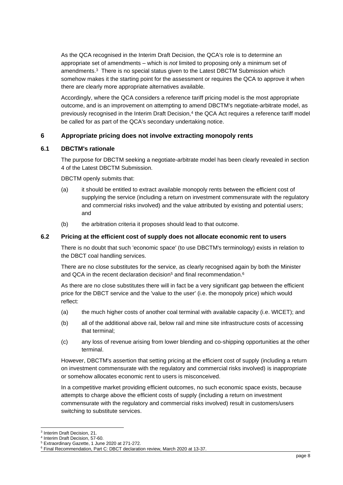As the QCA recognised in the Interim Draft Decision, the QCA's role is to determine an appropriate set of amendments – which is *not* limited to proposing only a minimum set of amendments.<sup>3</sup> There is no special status given to the Latest DBCTM Submission which somehow makes it the starting point for the assessment or requires the QCA to approve it when there are clearly more appropriate alternatives available.

Accordingly, where the QCA considers a reference tariff pricing model is the most appropriate outcome, and is an improvement on attempting to amend DBCTM's negotiate-arbitrate model, as previously recognised in the Interim Draft Decision,<sup>4</sup> the QCA Act requires a reference tariff model be called for as part of the QCA's secondary undertaking notice.

## <span id="page-7-0"></span>**6 Appropriate pricing does not involve extracting monopoly rents**

## <span id="page-7-1"></span>**6.1 DBCTM's rationale**

The purpose for DBCTM seeking a negotiate-arbitrate model has been clearly revealed in section 4 of the Latest DBCTM Submission.

DBCTM openly submits that:

- (a) it should be entitled to extract available monopoly rents between the efficient cost of supplying the service (including a return on investment commensurate with the regulatory and commercial risks involved) and the value attributed by existing and potential users; and
- (b) the arbitration criteria it proposes should lead to that outcome.

## <span id="page-7-2"></span>**6.2 Pricing at the efficient cost of supply does not allocate economic rent to users**

There is no doubt that such 'economic space' (to use DBCTM's terminology) exists in relation to the DBCT coal handling services.

There are no close substitutes for the service, as clearly recognised again by both the Minister and QCA in the recent declaration decision<sup>5</sup> and final recommendation.<sup>6</sup>

As there are no close substitutes there will in fact be a very significant gap between the efficient price for the DBCT service and the 'value to the user' (i.e. the monopoly price) which would reflect:

- (a) the much higher costs of another coal terminal with available capacity (i.e. WICET); and
- (b) all of the additional above rail, below rail and mine site infrastructure costs of accessing that terminal;
- (c) any loss of revenue arising from lower blending and co-shipping opportunities at the other terminal.

However, DBCTM's assertion that setting pricing at the efficient cost of supply (including a return on investment commensurate with the regulatory and commercial risks involved) is inappropriate or somehow allocates economic rent to users is misconceived.

In a competitive market providing efficient outcomes, no such economic space exists, because attempts to charge above the efficient costs of supply (including a return on investment commensurate with the regulatory and commercial risks involved) result in customers/users switching to substitute services.

<sup>3</sup> Interim Draft Decision, 21.

<sup>4</sup> Interim Draft Decision, 57-60.

<sup>5</sup> Extraordinary Gazette, 1 June 2020 at 271-272.

<sup>6</sup> Final Recommendation, Part C: DBCT declaration review, March 2020 at 13-37.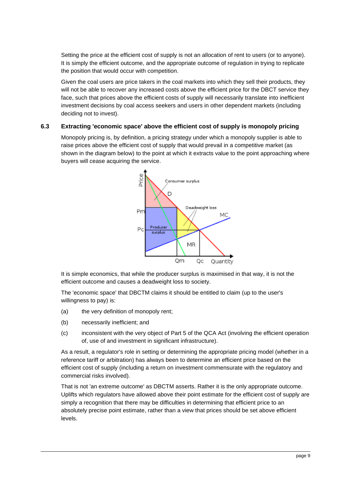Setting the price at the efficient cost of supply is not an allocation of rent to users (or to anyone). It is simply the efficient outcome, and the appropriate outcome of regulation in trying to replicate the position that would occur with competition.

Given the coal users are price takers in the coal markets into which they sell their products, they will not be able to recover any increased costs above the efficient price for the DBCT service they face, such that prices above the efficient costs of supply will necessarily translate into inefficient investment decisions by coal access seekers and users in other dependent markets (including deciding not to invest).

## <span id="page-8-0"></span>**6.3 Extracting 'economic space' above the efficient cost of supply is monopoly pricing**

Monopoly pricing is, by definition, a pricing strategy under which a monopoly supplier is able to raise prices above the efficient cost of supply that would prevail in a competitive market (as shown in the diagram below) to the point at which it extracts value to the point approaching where buyers will cease acquiring the service.



It is simple economics, that while the producer surplus is maximised in that way, it is not the efficient outcome and causes a deadweight loss to society.

The 'economic space' that DBCTM claims it should be entitled to claim (up to the user's willingness to pay) is:

- (a) the very definition of monopoly rent;
- (b) necessarily inefficient; and
- (c) inconsistent with the very object of Part 5 of the QCA Act (involving the efficient operation of, use of and investment in significant infrastructure).

As a result, a regulator's role in setting or determining the appropriate pricing model (whether in a reference tariff or arbitration) has always been to determine an efficient price based on the efficient cost of supply (including a return on investment commensurate with the regulatory and commercial risks involved).

That is not 'an extreme outcome' as DBCTM asserts. Rather it is the only appropriate outcome. Uplifts which regulators have allowed above their point estimate for the efficient cost of supply are simply a recognition that there may be difficulties in determining that efficient price to an absolutely precise point estimate, rather than a view that prices should be set above efficient levels.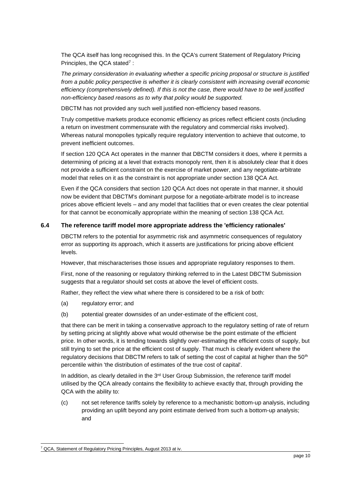The QCA itself has long recognised this. In the QCA's current Statement of Regulatory Pricing Principles, the QCA stated<sup>7</sup>:

*The primary consideration in evaluating whether a specific pricing proposal or structure is justified from a public policy perspective is whether it is clearly consistent with increasing overall economic efficiency (comprehensively defined). If this is not the case, there would have to be well justified non-efficiency based reasons as to why that policy would be supported.*

DBCTM has not provided any such well justified non-efficiency based reasons.

Truly competitive markets produce economic efficiency as prices reflect efficient costs (including a return on investment commensurate with the regulatory and commercial risks involved). Whereas natural monopolies typically require regulatory intervention to achieve that outcome, to prevent inefficient outcomes.

If section 120 QCA Act operates in the manner that DBCTM considers it does, where it permits a determining of pricing at a level that extracts monopoly rent, then it is absolutely clear that it does not provide a sufficient constraint on the exercise of market power, and any negotiate-arbitrate model that relies on it as the constraint is not appropriate under section 138 QCA Act.

Even if the QCA considers that section 120 QCA Act does not operate in that manner, it should now be evident that DBCTM's dominant purpose for a negotiate-arbitrate model is to increase prices above efficient levels – and any model that facilities that or even creates the clear potential for that cannot be economically appropriate within the meaning of section 138 QCA Act.

## <span id="page-9-0"></span>**6.4 The reference tariff model more appropriate address the 'efficiency rationales'**

DBCTM refers to the potential for asymmetric risk and asymmetric consequences of regulatory error as supporting its approach, which it asserts are justifications for pricing above efficient levels.

However, that mischaracterises those issues and appropriate regulatory responses to them.

First, none of the reasoning or regulatory thinking referred to in the Latest DBCTM Submission suggests that a regulator should set costs at above the level of efficient costs.

Rather, they reflect the view what where there is considered to be a risk of both:

- (a) regulatory error; and
- (b) potential greater downsides of an under-estimate of the efficient cost,

that there can be merit in taking a conservative approach to the regulatory setting of rate of return by setting pricing at slightly above what would otherwise be the point estimate of the efficient price. In other words, it is tending towards slightly over-estimating the efficient costs of supply, but still trying to set the price at the efficient cost of supply. That much is clearly evident where the regulatory decisions that DBCTM refers to talk of setting the cost of capital at higher than the 50<sup>th</sup> percentile within 'the distribution of estimates of the true cost of capital'.

In addition, as clearly detailed in the 3<sup>rd</sup> User Group Submission, the reference tariff model utilised by the QCA already contains the flexibility to achieve exactly that, through providing the QCA with the ability to:

(c) not set reference tariffs solely by reference to a mechanistic bottom-up analysis, including providing an uplift beyond any point estimate derived from such a bottom-up analysis; and

<sup>7</sup> QCA, Statement of Regulatory Pricing Principles, August 2013 at iv.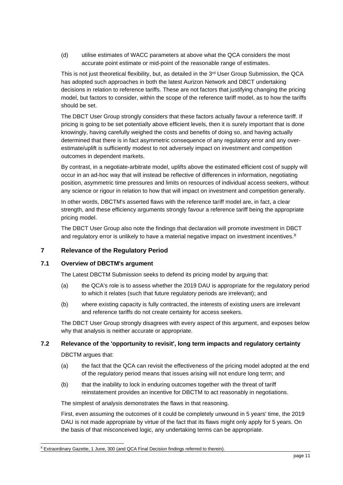(d) utilise estimates of WACC parameters at above what the QCA considers the most accurate point estimate or mid-point of the reasonable range of estimates.

This is not just theoretical flexibility, but, as detailed in the  $3<sup>rd</sup>$  User Group Submission, the QCA has adopted such approaches in both the latest Aurizon Network and DBCT undertaking decisions in relation to reference tariffs. These are not factors that justifying changing the pricing model, but factors to consider, within the scope of the reference tariff model, as to how the tariffs should be set.

The DBCT User Group strongly considers that these factors actually favour a reference tariff. If pricing is going to be set potentially above efficient levels, then it is surely important that is done knowingly, having carefully weighed the costs and benefits of doing so, and having actually determined that there is in fact asymmetric consequence of any regulatory error and any overestimate/uplift is sufficiently modest to not adversely impact on investment and competition outcomes in dependent markets.

By contrast, in a negotiate-arbitrate model, uplifts above the estimated efficient cost of supply will occur in an ad-hoc way that will instead be reflective of differences in information, negotiating position, asymmetric time pressures and limits on resources of individual access seekers, without any science or rigour in relation to how that will impact on investment and competition generally.

In other words, DBCTM's asserted flaws with the reference tariff model are, in fact, a clear strength, and these efficiency arguments strongly favour a reference tariff being the appropriate pricing model.

The DBCT User Group also note the findings that declaration will promote investment in DBCT and regulatory error is unlikely to have a material negative impact on investment incentives.<sup>8</sup>

## <span id="page-10-0"></span>**7 Relevance of the Regulatory Period**

## <span id="page-10-1"></span>**7.1 Overview of DBCTM's argument**

The Latest DBCTM Submission seeks to defend its pricing model by arguing that:

- (a) the QCA's role is to assess whether the 2019 DAU is appropriate for the regulatory period to which it relates (such that future regulatory periods are irrelevant); and
- (b) where existing capacity is fully contracted, the interests of existing users are irrelevant and reference tariffs do not create certainty for access seekers.

The DBCT User Group strongly disagrees with every aspect of this argument, and exposes below why that analysis is neither accurate or appropriate.

## <span id="page-10-2"></span>**7.2 Relevance of the 'opportunity to revisit', long term impacts and regulatory certainty**

DBCTM argues that:

- (a) the fact that the QCA can revisit the effectiveness of the pricing model adopted at the end of the regulatory period means that issues arising will not endure long term; and
- (b) that the inability to lock in enduring outcomes together with the threat of tariff reinstatement provides an incentive for DBCTM to act reasonably in negotiations.

The simplest of analysis demonstrates the flaws in that reasoning.

First, even assuming the outcomes of it could be completely unwound in 5 years' time, the 2019 DAU is not made appropriate by virtue of the fact that its flaws might only apply for 5 years. On the basis of that misconceived logic, any undertaking terms can be appropriate.

<sup>&</sup>lt;sup>8</sup> Extraordinary Gazette, 1 June, 300 (and QCA Final Decision findings referred to therein).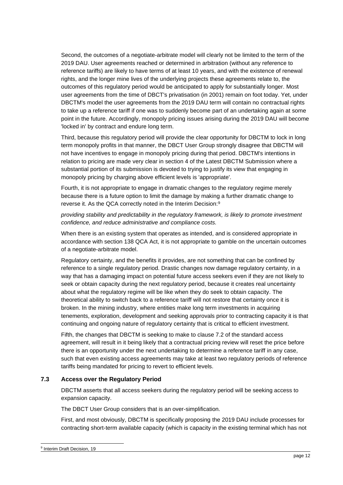Second, the outcomes of a negotiate-arbitrate model will clearly not be limited to the term of the 2019 DAU. User agreements reached or determined in arbitration (without any reference to reference tariffs) are likely to have terms of at least 10 years, and with the existence of renewal rights, and the longer mine lives of the underlying projects these agreements relate to, the outcomes of this regulatory period would be anticipated to apply for substantially longer. Most user agreements from the time of DBCT's privatisation (in 2001) remain on foot today. Yet, under DBCTM's model the user agreements from the 2019 DAU term will contain no contractual rights to take up a reference tariff if one was to suddenly become part of an undertaking again at some point in the future. Accordingly, monopoly pricing issues arising during the 2019 DAU will become 'locked in' by contract and endure long term.

Third, because this regulatory period will provide the clear opportunity for DBCTM to lock in long term monopoly profits in that manner, the DBCT User Group strongly disagree that DBCTM will not have incentives to engage in monopoly pricing during that period. DBCTM's intentions in relation to pricing are made very clear in section 4 of the Latest DBCTM Submission where a substantial portion of its submission is devoted to trying to justify its view that engaging in monopoly pricing by charging above efficient levels is 'appropriate'.

Fourth, it is not appropriate to engage in dramatic changes to the regulatory regime merely because there is a future option to limit the damage by making a further dramatic change to reverse it. As the QCA correctly noted in the Interim Decision:<sup>9</sup>

*providing stability and predictability in the regulatory framework, is likely to promote investment confidence, and reduce administrative and compliance costs.*

When there is an existing system that operates as intended, and is considered appropriate in accordance with section 138 QCA Act, it is not appropriate to gamble on the uncertain outcomes of a negotiate-arbitrate model.

Regulatory certainty, and the benefits it provides, are not something that can be confined by reference to a single regulatory period. Drastic changes now damage regulatory certainty, in a way that has a damaging impact on potential future access seekers even if they are not likely to seek or obtain capacity during the next regulatory period, because it creates real uncertainty about what the regulatory regime will be like when they do seek to obtain capacity. The theoretical ability to switch back to a reference tariff will not restore that certainty once it is broken. In the mining industry, where entities make long term investments in acquiring tenements, exploration, development and seeking approvals prior to contracting capacity it is that continuing and ongoing nature of regulatory certainty that is critical to efficient investment.

Fifth, the changes that DBCTM is seeking to make to clause 7.2 of the standard access agreement, will result in it being likely that a contractual pricing review will reset the price before there is an opportunity under the next undertaking to determine a reference tariff in any case, such that even existing access agreements may take at least two regulatory periods of reference tariffs being mandated for pricing to revert to efficient levels.

## <span id="page-11-0"></span>**7.3 Access over the Regulatory Period**

DBCTM asserts that all access seekers during the regulatory period will be seeking access to expansion capacity.

The DBCT User Group considers that is an over-simplification.

First, and most obviously, DBCTM is specifically proposing the 2019 DAU include processes for contracting short-term available capacity (which is capacity in the existing terminal which has not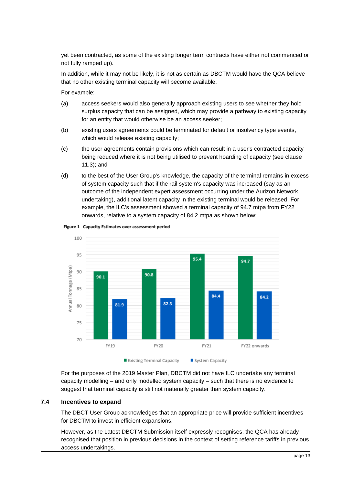yet been contracted, as some of the existing longer term contracts have either not commenced or not fully ramped up).

In addition, while it may not be likely, it is not as certain as DBCTM would have the QCA believe that no other existing terminal capacity will become available.

For example:

- (a) access seekers would also generally approach existing users to see whether they hold surplus capacity that can be assigned, which may provide a pathway to existing capacity for an entity that would otherwise be an access seeker;
- (b) existing users agreements could be terminated for default or insolvency type events, which would release existing capacity;
- (c) the user agreements contain provisions which can result in a user's contracted capacity being reduced where it is not being utilised to prevent hoarding of capacity (see clause 11.3); and
- (d) to the best of the User Group's knowledge, the capacity of the terminal remains in excess of system capacity such that if the rail system's capacity was increased (say as an outcome of the independent expert assessment occurring under the Aurizon Network undertaking), additional latent capacity in the existing terminal would be released. For example, the ILC's assessment showed a terminal capacity of 94.7 mtpa from FY22 onwards, relative to a system capacity of 84.2 mtpa as shown below:



#### Figure 1 Capacity Estimates over assessment period

For the purposes of the 2019 Master Plan, DBCTM did not have ILC undertake any terminal capacity modelling – and only modelled system capacity – such that there is no evidence to suggest that terminal capacity is still not materially greater than system capacity.

## <span id="page-12-0"></span>**7.4 Incentives to expand**

The DBCT User Group acknowledges that an appropriate price will provide sufficient incentives for DBCTM to invest in efficient expansions.

However, as the Latest DBCTM Submission itself expressly recognises, the QCA has already recognised that position in previous decisions in the context of setting reference tariffs in previous access undertakings.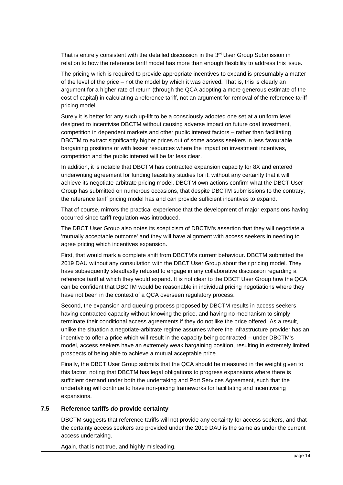That is entirely consistent with the detailed discussion in the  $3<sup>rd</sup>$  User Group Submission in relation to how the reference tariff model has more than enough flexibility to address this issue.

The pricing which is required to provide appropriate incentives to expand is presumably a matter of the level of the price – not the model by which it was derived. That is, this is clearly an argument for a higher rate of return (through the QCA adopting a more generous estimate of the cost of capital) in calculating a reference tariff, not an argument for removal of the reference tariff pricing model.

Surely it is better for any such up-lift to be a consciously adopted one set at a uniform level designed to incentivise DBCTM without causing adverse impact on future coal investment, competition in dependent markets and other public interest factors – rather than facilitating DBCTM to extract significantly higher prices out of some access seekers in less favourable bargaining positions or with lesser resources where the impact on investment incentives, competition and the public interest will be far less clear.

In addition, it is notable that DBCTM has contracted expansion capacity for 8X and entered underwriting agreement for funding feasibility studies for it, without any certainty that it will achieve its negotiate-arbitrate pricing model. DBCTM own actions confirm what the DBCT User Group has submitted on numerous occasions, that despite DBCTM submissions to the contrary, the reference tariff pricing model has and can provide sufficient incentives to expand.

That of course, mirrors the practical experience that the development of major expansions having occurred since tariff regulation was introduced.

The DBCT User Group also notes its scepticism of DBCTM's assertion that they will negotiate a 'mutually acceptable outcome' and they will have alignment with access seekers in needing to agree pricing which incentives expansion.

First, that would mark a complete shift from DBCTM's current behaviour. DBCTM submitted the 2019 DAU without any consultation with the DBCT User Group about their pricing model. They have subsequently steadfastly refused to engage in any collaborative discussion regarding a reference tariff at which they would expand. It is not clear to the DBCT User Group how the QCA can be confident that DBCTM would be reasonable in individual pricing negotiations where they have not been in the context of a QCA overseen regulatory process.

Second, the expansion and queuing process proposed by DBCTM results in access seekers having contracted capacity without knowing the price, and having no mechanism to simply terminate their conditional access agreements if they do not like the price offered. As a result, unlike the situation a negotiate-arbitrate regime assumes where the infrastructure provider has an incentive to offer a price which will result in the capacity being contracted – under DBCTM's model, access seekers have an extremely weak bargaining position, resulting in extremely limited prospects of being able to achieve a mutual acceptable price.

Finally, the DBCT User Group submits that the QCA should be measured in the weight given to this factor, noting that DBCTM has legal obligations to progress expansions where there is sufficient demand under both the undertaking and Port Services Agreement, such that the undertaking will continue to have non-pricing frameworks for facilitating and incentivising expansions.

#### <span id="page-13-0"></span>**7.5 Reference tariffs** *do* **provide certainty**

DBCTM suggests that reference tariffs will not provide any certainty for access seekers, and that the certainty access seekers are provided under the 2019 DAU is the same as under the current access undertaking.

Again, that is not true, and highly misleading.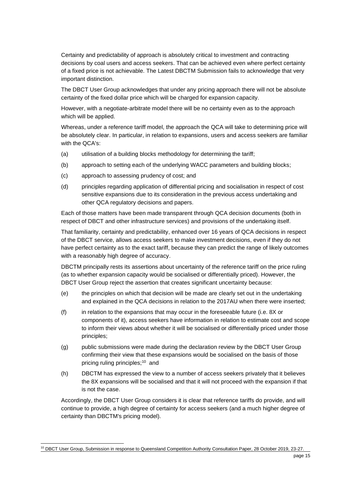Certainty and predictability of approach is absolutely critical to investment and contracting decisions by coal users and access seekers. That can be achieved even where perfect certainty of a fixed price is not achievable. The Latest DBCTM Submission fails to acknowledge that very important distinction.

The DBCT User Group acknowledges that under any pricing approach there will not be absolute certainty of the fixed dollar price which will be charged for expansion capacity.

However, with a negotiate-arbitrate model there will be no certainty even as to the approach which will be applied.

Whereas, under a reference tariff model, the approach the QCA will take to determining price will be absolutely clear. In particular, in relation to expansions, users and access seekers are familiar with the QCA's:

- (a) utilisation of a building blocks methodology for determining the tariff;
- (b) approach to setting each of the underlying WACC parameters and building blocks;
- (c) approach to assessing prudency of cost; and
- (d) principles regarding application of differential pricing and socialisation in respect of cost sensitive expansions due to its consideration in the previous access undertaking and other QCA regulatory decisions and papers.

Each of those matters have been made transparent through QCA decision documents (both in respect of DBCT and other infrastructure services) and provisions of the undertaking itself.

That familiarity, certainty and predictability, enhanced over 16 years of QCA decisions in respect of the DBCT service, allows access seekers to make investment decisions, even if they do not have perfect certainty as to the exact tariff, because they can predict the range of likely outcomes with a reasonably high degree of accuracy.

DBCTM principally rests its assertions about uncertainty of the reference tariff on the price ruling (as to whether expansion capacity would be socialised or differentially priced). However, the DBCT User Group reject the assertion that creates significant uncertainty because:

- (e) the principles on which that decision will be made are clearly set out in the undertaking and explained in the QCA decisions in relation to the 2017AU when there were inserted;
- (f) in relation to the expansions that may occur in the foreseeable future (i.e. 8X or components of it), access seekers have information in relation to estimate cost and scope to inform their views about whether it will be socialised or differentially priced under those principles;
- (g) public submissions were made during the declaration review by the DBCT User Group confirming their view that these expansions would be socialised on the basis of those pricing ruling principles; <sup>10</sup> and
- (h) DBCTM has expressed the view to a number of access seekers privately that it believes the 8X expansions will be socialised and that it will not proceed with the expansion if that is not the case.

Accordingly, the DBCT User Group considers it is clear that reference tariffs do provide, and will continue to provide, a high degree of certainty for access seekers (and a much higher degree of certainty than DBCTM's pricing model).

<sup>&</sup>lt;sup>10</sup> DBCT User Group, Submission in response to Queensland Competition Authority Consultation Paper, 28 October 2019, 23-27.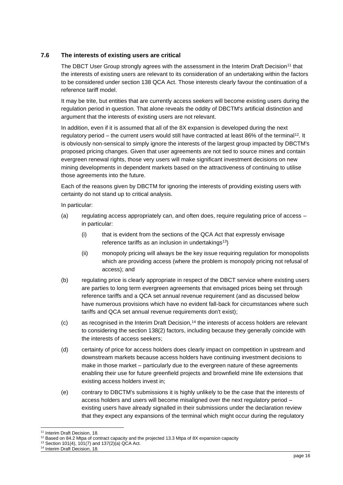## <span id="page-15-0"></span>**7.6 The interests of existing users are critical**

The DBCT User Group strongly agrees with the assessment in the Interim Draft Decision<sup>11</sup> that the interests of existing users are relevant to its consideration of an undertaking within the factors to be considered under section 138 QCA Act. Those interests clearly favour the continuation of a reference tariff model.

It may be trite, but entities that are currently access seekers will become existing users during the regulation period in question. That alone reveals the oddity of DBCTM's artificial distinction and argument that the interests of existing users are not relevant.

In addition, even if it is assumed that all of the 8X expansion is developed during the next regulatory period – the current users would still have contracted at least 86% of the terminal<sup>12</sup>. It is obviously non-sensical to simply ignore the interests of the largest group impacted by DBCTM's proposed pricing changes. Given that user agreements are not tied to source mines and contain evergreen renewal rights, those very users will make significant investment decisions on new mining developments in dependent markets based on the attractiveness of continuing to utilise those agreements into the future.

Each of the reasons given by DBCTM for ignoring the interests of providing existing users with certainty do not stand up to critical analysis.

In particular:

- (a) regulating access appropriately can, and often does, require regulating price of access in particular:
	- (i) that is evident from the sections of the QCA Act that expressly envisage reference tariffs as an inclusion in undertakings<sup>13</sup>)
	- (ii) monopoly pricing will always be the key issue requiring regulation for monopolists which are providing access (where the problem is monopoly pricing not refusal of access); and
- (b) regulating price is clearly appropriate in respect of the DBCT service where existing users are parties to long term evergreen agreements that envisaged prices being set through reference tariffs and a QCA set annual revenue requirement (and as discussed below have numerous provisions which have no evident fall-back for circumstances where such tariffs and QCA set annual revenue requirements don't exist);
- (c) as recognised in the Interim Draft Decision,<sup>14</sup> the interests of access holders are relevant to considering the section 138(2) factors, including because they generally coincide with the interests of access seekers;
- (d) certainty of price for access holders does clearly impact on competition in upstream and downstream markets because access holders have continuing investment decisions to make in those market – particularly due to the evergreen nature of these agreements enabling their use for future greenfield projects and brownfield mine life extensions that existing access holders invest in;
- (e) contrary to DBCTM's submissions it is highly unlikely to be the case that the interests of access holders and users will become misaligned over the next regulatory period – existing users have already signalled in their submissions under the declaration review that they expect any expansions of the terminal which might occur during the regulatory

<sup>&</sup>lt;sup>11</sup> Interim Draft Decision, 18.

 $12$  Based on 84.2 Mtpa of contract capacity and the projected 13.3 Mtpa of 8X expansion capacity

<sup>13</sup> Section 101(4), 101(7) and 137(2)(a) QCA Act.

<sup>&</sup>lt;sup>14</sup> Interim Draft Decision, 18.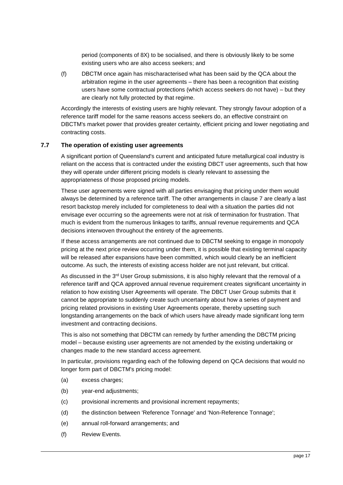period (components of 8X) to be socialised, and there is obviously likely to be some existing users who are also access seekers; and

(f) DBCTM once again has mischaracterised what has been said by the QCA about the arbitration regime in the user agreements – there has been a recognition that existing users have some contractual protections (which access seekers do not have) – but they are clearly not fully protected by that regime.

Accordingly the interests of existing users are highly relevant. They strongly favour adoption of a reference tariff model for the same reasons access seekers do, an effective constraint on DBCTM's market power that provides greater certainty, efficient pricing and lower negotiating and contracting costs.

## <span id="page-16-0"></span>**7.7 The operation of existing user agreements**

A significant portion of Queensland's current and anticipated future metallurgical coal industry is reliant on the access that is contracted under the existing DBCT user agreements, such that how they will operate under different pricing models is clearly relevant to assessing the appropriateness of those proposed pricing models.

These user agreements were signed with all parties envisaging that pricing under them would always be determined by a reference tariff. The other arrangements in clause 7 are clearly a last resort backstop merely included for completeness to deal with a situation the parties did not envisage ever occurring so the agreements were not at risk of termination for frustration. That much is evident from the numerous linkages to tariffs, annual revenue requirements and QCA decisions interwoven throughout the entirety of the agreements.

If these access arrangements are not continued due to DBCTM seeking to engage in monopoly pricing at the next price review occurring under them, it is possible that existing terminal capacity will be released after expansions have been committed, which would clearly be an inefficient outcome. As such, the interests of existing access holder are not just relevant, but critical.

As discussed in the 3<sup>rd</sup> User Group submissions, it is also highly relevant that the removal of a reference tariff and QCA approved annual revenue requirement creates significant uncertainty in relation to how existing User Agreements will operate. The DBCT User Group submits that it cannot be appropriate to suddenly create such uncertainty about how a series of payment and pricing related provisions in existing User Agreements operate, thereby upsetting such longstanding arrangements on the back of which users have already made significant long term investment and contracting decisions.

This is also not something that DBCTM can remedy by further amending the DBCTM pricing model – because existing user agreements are not amended by the existing undertaking or changes made to the new standard access agreement.

In particular, provisions regarding each of the following depend on QCA decisions that would no longer form part of DBCTM's pricing model:

- (a) excess charges;
- (b) year-end adjustments;
- (c) provisional increments and provisional increment repayments;
- (d) the distinction between 'Reference Tonnage' and 'Non-Reference Tonnage';
- (e) annual roll-forward arrangements; and
- (f) Review Events.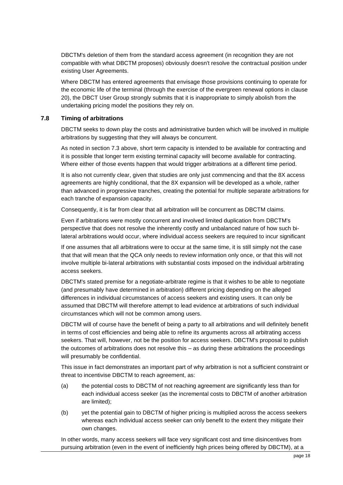DBCTM's deletion of them from the standard access agreement (in recognition they are not compatible with what DBCTM proposes) obviously doesn't resolve the contractual position under existing User Agreements.

Where DBCTM has entered agreements that envisage those provisions continuing to operate for the economic life of the terminal (through the exercise of the evergreen renewal options in clause 20), the DBCT User Group strongly submits that it is inappropriate to simply abolish from the undertaking pricing model the positions they rely on.

## <span id="page-17-0"></span>**7.8 Timing of arbitrations**

DBCTM seeks to down play the costs and administrative burden which will be involved in multiple arbitrations by suggesting that they will always be concurrent.

As noted in section [7.3](#page-11-0) above, short term capacity is intended to be available for contracting and it is possible that longer term existing terminal capacity will become available for contracting. Where either of those events happen that would trigger arbitrations at a different time period.

It is also not currently clear, given that studies are only just commencing and that the 8X access agreements are highly conditional, that the 8X expansion will be developed as a whole, rather than advanced in progressive tranches, creating the potential for multiple separate arbitrations for each tranche of expansion capacity.

Consequently, it is far from clear that all arbitration will be concurrent as DBCTM claims.

Even if arbitrations were mostly concurrent and involved limited duplication from DBCTM's perspective that does not resolve the inherently costly and unbalanced nature of how such bilateral arbitrations would occur, where individual access seekers are required to incur significant

If one assumes that all arbitrations were to occur at the same time, it is still simply not the case that that will mean that the QCA only needs to review information only once, or that this will not involve multiple bi-lateral arbitrations with substantial costs imposed on the individual arbitrating access seekers.

DBCTM's stated premise for a negotiate-arbitrate regime is that it wishes to be able to negotiate (and presumably have determined in arbitration) different pricing depending on the alleged differences in individual circumstances of access seekers and existing users. It can only be assumed that DBCTM will therefore attempt to lead evidence at arbitrations of such individual circumstances which will not be common among users.

DBCTM will of course have the benefit of being a party to all arbitrations and will definitely benefit in terms of cost efficiencies and being able to refine its arguments across all arbitrating access seekers. That will, however, not be the position for access seekers. DBCTM's proposal to publish the outcomes of arbitrations does not resolve this – as during these arbitrations the proceedings will presumably be confidential.

This issue in fact demonstrates an important part of why arbitration is not a sufficient constraint or threat to incentivise DBCTM to reach agreement, as:

- (a) the potential costs to DBCTM of not reaching agreement are significantly less than for each individual access seeker (as the incremental costs to DBCTM of another arbitration are limited);
- (b) yet the potential gain to DBCTM of higher pricing is multiplied across the access seekers whereas each individual access seeker can only benefit to the extent they mitigate their own changes.

In other words, many access seekers will face very significant cost and time disincentives from pursuing arbitration (even in the event of inefficiently high prices being offered by DBCTM), at a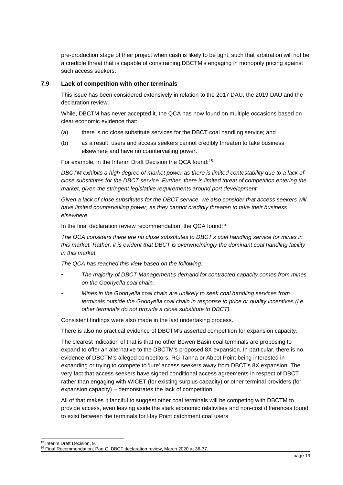pre-production stage of their project when cash is likely to be tight, such that arbitration will not be a credible threat that is capable of constraining DBCTM's engaging in monopoly pricing against such access seekers.

## <span id="page-18-0"></span>**7.9 Lack of competition with other terminals**

This issue has been considered extensively in relation to the 2017 DAU, the 2019 DAU and the declaration review.

While, DBCTM has never accepted it, the QCA has now found on multiple occasions based on clear economic evidence that:

- (a) there is no close substitute services for the DBCT coal handling service; and
- (b) as a result, users and access seekers cannot credibly threaten to take business elsewhere and have no countervailing power.

For example, in the Interim Draft Decision the QCA found:<sup>15</sup>

*DBCTM exhibits a high degree of market power as there is limited contestability due to a lack of close substitutes for the DBCT service. Further, there is limited threat of competition entering the market, given the stringent legislative requirements around port development.*

*Given a lack of close substitutes for the DBCT service, we also consider that access seekers will have limited countervailing power, as they cannot credibly threaten to take their business elsewhere.*

In the final declaration review recommendation, the QCA found:<sup>16</sup>

*The QCA considers there are no close substitutes to DBCT's coal handling service for mines in this market. Rather, it is evident that DBCT is overwhelmingly the dominant coal handling facility in this market.*

*The QCA has reached this view based on the following:*

- *The majority of DBCT Management's demand for contracted capacity comes from mines on the Goonyella coal chain.*
- *Mines in the Goonyella coal chain are unlikely to seek coal handling services from terminals outside the Goonyella coal chain in response to price or quality incentives (i.e. other terminals do not provide a close substitute to DBCT).*

Consistent findings were also made in the last undertaking process.

There is also no practical evidence of DBCTM's asserted competition for expansion capacity.

The clearest indication of that is that no other Bowen Basin coal terminals are proposing to expand to offer an alternative to the DBCTM's proposed 8X expansion. In particular, there is no evidence of DBCTM's alleged competitors, RG Tanna or Abbot Point being interested in expanding or trying to compete to 'lure' access seekers away from DBCT's 8X expansion. The very fact that access seekers have signed conditional access agreements in respect of DBCT rather than engaging with WICET (for existing surplus capacity) or other terminal providers (for expansion capacity) – demonstrates the lack of competition.

All of that makes it fanciful to suggest other coal terminals will be competing with DBCTM to provide access, even leaving aside the stark economic relativities and non-cost differences found to exist between the terminals for Hay Point catchment coal users

<sup>15</sup> Interim Draft Decision, 9.

<sup>&</sup>lt;sup>16</sup> Final Recommendation, Part C: DBCT declaration review, March 2020 at 36-37.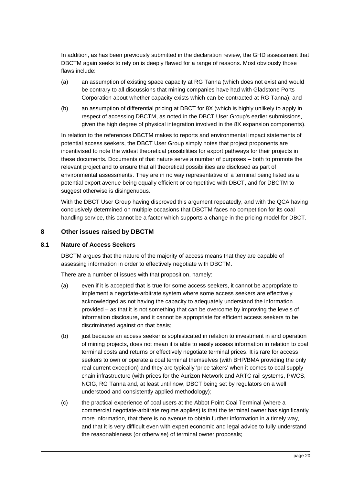In addition, as has been previously submitted in the declaration review, the GHD assessment that DBCTM again seeks to rely on is deeply flawed for a range of reasons. Most obviously those flaws include:

- (a) an assumption of existing space capacity at RG Tanna (which does not exist and would be contrary to all discussions that mining companies have had with Gladstone Ports Corporation about whether capacity exists which can be contracted at RG Tanna); and
- (b) an assumption of differential pricing at DBCT for 8X (which is highly unlikely to apply in respect of accessing DBCTM, as noted in the DBCT User Group's earlier submissions, given the high degree of physical integration involved in the 8X expansion components).

In relation to the references DBCTM makes to reports and environmental impact statements of potential access seekers, the DBCT User Group simply notes that project proponents are incentivised to note the widest theoretical possibilities for export pathways for their projects in these documents. Documents of that nature serve a number of purposes – both to promote the relevant project and to ensure that all theoretical possibilities are disclosed as part of environmental assessments. They are in no way representative of a terminal being listed as a potential export avenue being equally efficient or competitive with DBCT, and for DBCTM to suggest otherwise is disingenuous.

With the DBCT User Group having disproved this argument repeatedly, and with the QCA having conclusively determined on multiple occasions that DBCTM faces no competition for its coal handling service, this cannot be a factor which supports a change in the pricing model for DBCT.

## <span id="page-19-0"></span>**8 Other issues raised by DBCTM**

## <span id="page-19-1"></span>**8.1 Nature of Access Seekers**

DBCTM argues that the nature of the majority of access means that they are capable of assessing information in order to effectively negotiate with DBCTM.

There are a number of issues with that proposition, namely:

- (a) even if it is accepted that is true for some access seekers, it cannot be appropriate to implement a negotiate-arbitrate system where some access seekers are effectively acknowledged as not having the capacity to adequately understand the information provided – as that it is not something that can be overcome by improving the levels of information disclosure, and it cannot be appropriate for efficient access seekers to be discriminated against on that basis;
- (b) just because an access seeker is sophisticated in relation to investment in and operation of mining projects, does not mean it is able to easily assess information in relation to coal terminal costs and returns or effectively negotiate terminal prices. It is rare for access seekers to own or operate a coal terminal themselves (with BHP/BMA providing the only real current exception) and they are typically 'price takers' when it comes to coal supply chain infrastructure (with prices for the Aurizon Network and ARTC rail systems, PWCS, NCIG, RG Tanna and, at least until now, DBCT being set by regulators on a well understood and consistently applied methodology);
- (c) the practical experience of coal users at the Abbot Point Coal Terminal (where a commercial negotiate-arbitrate regime applies) is that the terminal owner has significantly more information, that there is no avenue to obtain further information in a timely way, and that it is very difficult even with expert economic and legal advice to fully understand the reasonableness (or otherwise) of terminal owner proposals;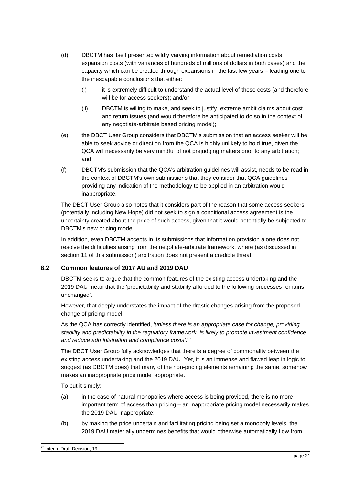- (d) DBCTM has itself presented wildly varying information about remediation costs, expansion costs (with variances of hundreds of millions of dollars in both cases) and the capacity which can be created through expansions in the last few years – leading one to the inescapable conclusions that either:
	- (i) it is extremely difficult to understand the actual level of these costs (and therefore will be for access seekers); and/or
	- (ii) DBCTM is willing to make, and seek to justify, extreme ambit claims about cost and return issues (and would therefore be anticipated to do so in the context of any negotiate-arbitrate based pricing model);
- (e) the DBCT User Group considers that DBCTM's submission that an access seeker will be able to seek advice or direction from the QCA is highly unlikely to hold true, given the QCA will necessarily be very mindful of not prejudging matters prior to any arbitration; and
- (f) DBCTM's submission that the QCA's arbitration guidelines will assist, needs to be read in the context of DBCTM's own submissions that they consider that QCA guidelines providing any indication of the methodology to be applied in an arbitration would inappropriate.

The DBCT User Group also notes that it considers part of the reason that some access seekers (potentially including New Hope) did not seek to sign a conditional access agreement is the uncertainty created about the price of such access, given that it would potentially be subjected to DBCTM's new pricing model.

In addition, even DBCTM accepts in its submissions that information provision alone does not resolve the difficulties arising from the negotiate-arbitrate framework, where (as discussed in section [11](#page-26-1) of this submission) arbitration does not present a credible threat.

## <span id="page-20-0"></span>**8.2 Common features of 2017 AU and 2019 DAU**

DBCTM seeks to argue that the common features of the existing access undertaking and the 2019 DAU mean that the 'predictability and stability afforded to the following processes remains unchanged'.

However, that deeply understates the impact of the drastic changes arising from the proposed change of pricing model.

As the QCA has correctly identified, *'unless there is an appropriate case for change, providing stability and predictability in the regulatory framework, is likely to promote investment confidence and reduce administration and compliance costs'*. 17

The DBCT User Group fully acknowledges that there is a degree of commonality between the existing access undertaking and the 2019 DAU. Yet, it is an immense and flawed leap in logic to suggest (as DBCTM does) that many of the non-pricing elements remaining the same, somehow makes an inappropriate price model appropriate.

To put it simply:

- (a) in the case of natural monopolies where access is being provided, there is no more important term of access than pricing – an inappropriate pricing model necessarily makes the 2019 DAU inappropriate;
- (b) by making the price uncertain and facilitating pricing being set a monopoly levels, the 2019 DAU materially undermines benefits that would otherwise automatically flow from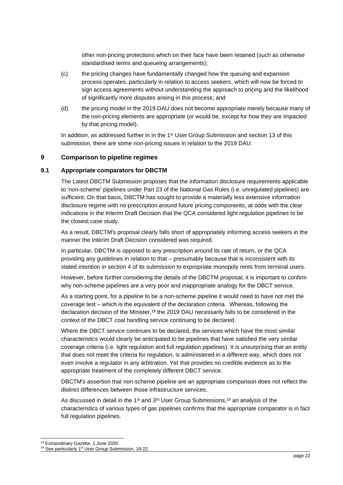other non-pricing protections which on their face have been retained (such as otherwise standardised terms and queueing arrangements);

- (c) the pricing changes have fundamentally changed how the queuing and expansion process operates, particularly in relation to access seekers, which will now be forced to sign access agreements without understanding the approach to pricing and the likelihood of significantly more disputes arising in this process; and
- (d) the pricing model in the 2019 DAU does not become appropriate merely because many of the non-pricing elements are appropriate (or would be, except for how they are impacted by that pricing model).

In addition, as addressed further in in the 1<sup>st</sup> User Group Submission and section [13](#page-33-0) of this submission, there are some non-pricing issues in relation to the 2019 DAU.

## <span id="page-21-0"></span>**9 Comparison to pipeline regimes**

#### <span id="page-21-1"></span>**9.1 Appropriate comparators for DBCTM**

The Latest DBCTM Submission proposes that the information disclosure requirements applicable to 'non-scheme' pipelines under Part 23 of the National Gas Rules (i.e. unregulated pipelines) are sufficient. On that basis, DBCTM has sought to provide a materially less extensive information disclosure regime with no prescription around future pricing components, at odds with the clear indications in the Interim Draft Decision that the QCA considered light regulation pipelines to be the closest case study.

As a result, DBCTM's proposal clearly falls short of appropriately informing access seekers in the manner the Interim Draft Decision considered was required.

In particular, DBCTM is opposed to any prescription around its rate of return, or the QCA providing any guidelines in relation to that – presumably because that is inconsistent with its stated intention in section 4 of its submission to expropriate monopoly rents from terminal users.

However, before further considering the details of the DBCTM proposal, it is important to confirm why non-scheme pipelines are a very poor and inappropriate analogy for the DBCT service.

As a starting point, for a pipeline to be a non-scheme pipeline it would need to have not met the coverage test – which is the equivalent of the declaration criteria. Whereas, following the declaration decision of the Minister,<sup>18</sup> the 2019 DAU necessarily falls to be considered in the context of the DBCT coal handling service continuing to be declared.

Where the DBCT service continues to be declared, the services which have the most similar characteristics would clearly be anticipated to be pipelines that have satisfied the very similar coverage criteria (i.e. light regulation and full regulation pipelines). It is unsurprising that an entity that does not meet the criteria for regulation, is administered in a different way, which does not even involve a regulator in any arbitration. Yet that provides no credible evidence as to the appropriate treatment of the completely different DBCT service.

DBCTM's assertion that non-scheme pipeline are an appropriate comparison does not reflect the distinct differences between those infrastructure services.

As discussed in detail in the 1<sup>st</sup> and 3<sup>rd</sup> User Group Submissions,<sup>19</sup> an analysis of the characteristics of various types of gas pipelines confirms that the appropriate comparator is in fact full regulation pipelines.

<sup>18</sup> Extraordinary Gazette, 1 June 2020

<sup>&</sup>lt;sup>19</sup> See particularly 1<sup>st</sup> User Group Submission, 18-22.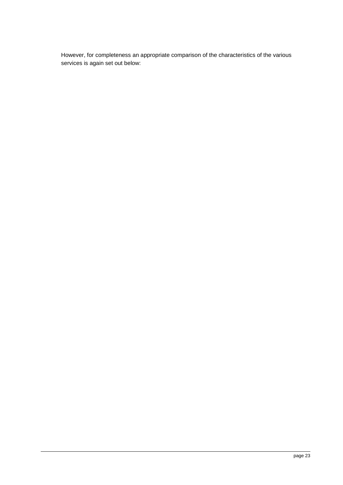However, for completeness an appropriate comparison of the characteristics of the various services is again set out below: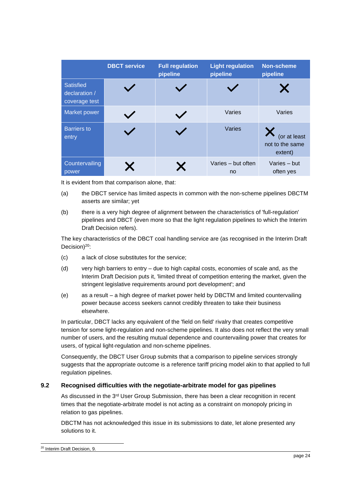|                                                    | <b>DBCT service</b> | <b>Full regulation</b><br>pipeline | <b>Light regulation</b><br>pipeline | <b>Non-scheme</b><br>pipeline              |
|----------------------------------------------------|---------------------|------------------------------------|-------------------------------------|--------------------------------------------|
| <b>Satisfied</b><br>declaration /<br>coverage test |                     |                                    |                                     |                                            |
| Market power                                       |                     |                                    | Varies                              | Varies                                     |
| <b>Barriers</b> to<br>entry                        |                     |                                    | Varies                              | (or at least<br>not to the same<br>extent) |
| Countervailing<br>power                            |                     | X.                                 | Varies - but often<br><sub>no</sub> | Varies - but<br>often yes                  |

It is evident from that comparison alone, that:

- (a) the DBCT service has limited aspects in common with the non-scheme pipelines DBCTM asserts are similar; yet
- (b) there is a very high degree of alignment between the characteristics of 'full-regulation' pipelines and DBCT (even more so that the light regulation pipelines to which the Interim Draft Decision refers).

The key characteristics of the DBCT coal handling service are (as recognised in the Interim Draft Decision)<sup>20</sup>:

- (c) a lack of close substitutes for the service;
- (d) very high barriers to entry due to high capital costs, economies of scale and, as the Interim Draft Decision puts it, 'limited threat of competition entering the market, given the stringent legislative requirements around port development'; and
- (e) as a result a high degree of market power held by DBCTM and limited countervailing power because access seekers cannot credibly threaten to take their business elsewhere.

In particular, DBCT lacks any equivalent of the 'field on field' rivalry that creates competitive tension for some light-regulation and non-scheme pipelines. It also does not reflect the very small number of users, and the resulting mutual dependence and countervailing power that creates for users, of typical light-regulation and non-scheme pipelines.

Consequently, the DBCT User Group submits that a comparison to pipeline services strongly suggests that the appropriate outcome is a reference tariff pricing model akin to that applied to full regulation pipelines.

## <span id="page-23-0"></span>**9.2 Recognised difficulties with the negotiate-arbitrate model for gas pipelines**

As discussed in the  $3<sup>rd</sup>$  User Group Submission, there has been a clear recognition in recent times that the negotiate-arbitrate model is not acting as a constraint on monopoly pricing in relation to gas pipelines.

DBCTM has not acknowledged this issue in its submissions to date, let alone presented any solutions to it.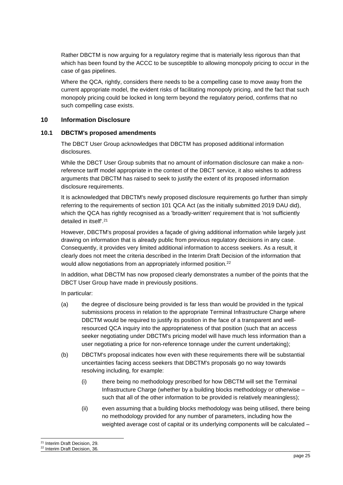Rather DBCTM is now arguing for a regulatory regime that is materially less rigorous than that which has been found by the ACCC to be susceptible to allowing monopoly pricing to occur in the case of gas pipelines.

Where the QCA, rightly, considers there needs to be a compelling case to move away from the current appropriate model, the evident risks of facilitating monopoly pricing, and the fact that such monopoly pricing could be locked in long term beyond the regulatory period, confirms that no such compelling case exists.

## <span id="page-24-0"></span>**10 Information Disclosure**

## <span id="page-24-1"></span>**10.1 DBCTM's proposed amendments**

The DBCT User Group acknowledges that DBCTM has proposed additional information disclosures.

While the DBCT User Group submits that no amount of information disclosure can make a nonreference tariff model appropriate in the context of the DBCT service, it also wishes to address arguments that DBCTM has raised to seek to justify the extent of its proposed information disclosure requirements.

It is acknowledged that DBCTM's newly proposed disclosure requirements go further than simply referring to the requirements of section 101 QCA Act (as the initially submitted 2019 DAU did), which the QCA has rightly recognised as a 'broadly-written' requirement that is 'not sufficiently detailed in itself'.<sup>21</sup>

However, DBCTM's proposal provides a façade of giving additional information while largely just drawing on information that is already public from previous regulatory decisions in any case. Consequently, it provides very limited additional information to access seekers. As a result, it clearly does not meet the criteria described in the Interim Draft Decision of the information that would allow negotiations from an appropriately informed position.<sup>22</sup>

In addition, what DBCTM has now proposed clearly demonstrates a number of the points that the DBCT User Group have made in previously positions.

In particular:

- (a) the degree of disclosure being provided is far less than would be provided in the typical submissions process in relation to the appropriate Terminal Infrastructure Charge where DBCTM would be required to justify its position in the face of a transparent and wellresourced QCA inquiry into the appropriateness of that position (such that an access seeker negotiating under DBCTM's pricing model will have much less information than a user negotiating a price for non-reference tonnage under the current undertaking);
- (b) DBCTM's proposal indicates how even with these requirements there will be substantial uncertainties facing access seekers that DBCTM's proposals go no way towards resolving including, for example:
	- (i) there being no methodology prescribed for how DBCTM will set the Terminal Infrastructure Charge (whether by a building blocks methodology or otherwise – such that all of the other information to be provided is relatively meaningless);
	- (ii) even assuming that a building blocks methodology was being utilised, there being no methodology provided for any number of parameters, including how the weighted average cost of capital or its underlying components will be calculated –

<sup>&</sup>lt;sup>21</sup> Interim Draft Decision, 29.

<sup>22</sup> Interim Draft Decision, 36.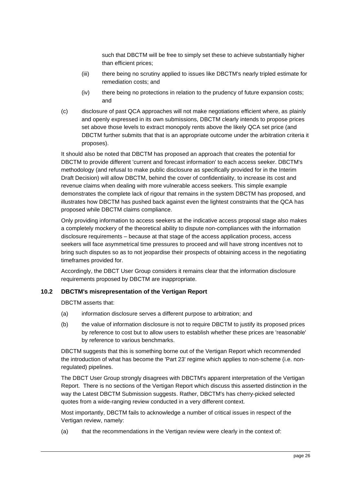such that DBCTM will be free to simply set these to achieve substantially higher than efficient prices;

- (iii) there being no scrutiny applied to issues like DBCTM's nearly tripled estimate for remediation costs; and
- (iv) there being no protections in relation to the prudency of future expansion costs; and
- (c) disclosure of past QCA approaches will not make negotiations efficient where, as plainly and openly expressed in its own submissions, DBCTM clearly intends to propose prices set above those levels to extract monopoly rents above the likely QCA set price (and DBCTM further submits that that is an appropriate outcome under the arbitration criteria it proposes).

It should also be noted that DBCTM has proposed an approach that creates the potential for DBCTM to provide different 'current and forecast information' to each access seeker. DBCTM's methodology (and refusal to make public disclosure as specifically provided for in the Interim Draft Decision) will allow DBCTM, behind the cover of confidentiality, to increase its cost and revenue claims when dealing with more vulnerable access seekers. This simple example demonstrates the complete lack of rigour that remains in the system DBCTM has proposed, and illustrates how DBCTM has pushed back against even the lightest constraints that the QCA has proposed while DBCTM claims compliance.

Only providing information to access seekers at the indicative access proposal stage also makes a completely mockery of the theoretical ability to dispute non-compliances with the information disclosure requirements – because at that stage of the access application process, access seekers will face asymmetrical time pressures to proceed and will have strong incentives not to bring such disputes so as to not jeopardise their prospects of obtaining access in the negotiating timeframes provided for.

Accordingly, the DBCT User Group considers it remains clear that the information disclosure requirements proposed by DBCTM are inappropriate.

## <span id="page-25-0"></span>**10.2 DBCTM's misrepresentation of the Vertigan Report**

DBCTM asserts that:

- (a) information disclosure serves a different purpose to arbitration; and
- (b) the value of information disclosure is not to require DBCTM to justify its proposed prices by reference to cost but to allow users to establish whether these prices are 'reasonable' by reference to various benchmarks.

DBCTM suggests that this is something borne out of the Vertigan Report which recommended the introduction of what has become the 'Part 23' regime which applies to non-scheme (i.e. nonregulated) pipelines.

The DBCT User Group strongly disagrees with DBCTM's apparent interpretation of the Vertigan Report. There is no sections of the Vertigan Report which discuss this asserted distinction in the way the Latest DBCTM Submission suggests. Rather, DBCTM's has cherry-picked selected quotes from a wide-ranging review conducted in a very different context.

Most importantly, DBCTM fails to acknowledge a number of critical issues in respect of the Vertigan review, namely:

(a) that the recommendations in the Vertigan review were clearly in the context of: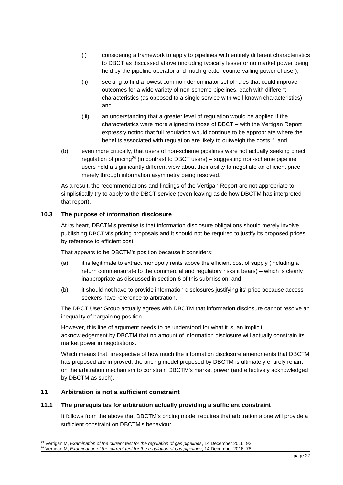- (i) considering a framework to apply to pipelines with entirely different characteristics to DBCT as discussed above (including typically lesser or no market power being held by the pipeline operator and much greater countervailing power of user);
- (ii) seeking to find a lowest common denominator set of rules that could improve outcomes for a wide variety of non-scheme pipelines, each with different characteristics (as opposed to a single service with well-known characteristics); and
- (iii) an understanding that a greater level of regulation would be applied if the characteristics were more aligned to those of DBCT – with the Vertigan Report expressly noting that full regulation would continue to be appropriate where the benefits associated with regulation are likely to outweigh the costs<sup>23</sup>; and
- (b) even more critically, that users of non-scheme pipelines were not actually seeking direct regulation of pricing<sup>24</sup> (in contrast to DBCT users) – suggesting non-scheme pipeline users held a significantly different view about their ability to negotiate an efficient price merely through information asymmetry being resolved.

As a result, the recommendations and findings of the Vertigan Report are not appropriate to simplistically try to apply to the DBCT service (even leaving aside how DBCTM has interpreted that report).

## <span id="page-26-0"></span>**10.3 The purpose of information disclosure**

At its heart, DBCTM's premise is that information disclosure obligations should merely involve publishing DBCTM's pricing proposals and it should not be required to justify its proposed prices by reference to efficient cost.

That appears to be DBCTM's position because it considers:

- (a) it is legitimate to extract monopoly rents above the efficient cost of supply (including a return commensurate to the commercial and regulatory risks it bears) – which is clearly inappropriate as discussed in section [6](#page-7-0) of this submission; and
- (b) it should not have to provide information disclosures justifying its' price because access seekers have reference to arbitration.

The DBCT User Group actually agrees with DBCTM that information disclosure cannot resolve an inequality of bargaining position.

However, this line of argument needs to be understood for what it is, an implicit acknowledgement by DBCTM that no amount of information disclosure will actually constrain its market power in negotiations.

Which means that, irrespective of how much the information disclosure amendments that DBCTM has proposed are improved, the pricing model proposed by DBCTM is ultimately entirely reliant on the arbitration mechanism to constrain DBCTM's market power (and effectively acknowledged by DBCTM as such).

## <span id="page-26-1"></span>**11 Arbitration is not a sufficient constraint**

## <span id="page-26-2"></span>**11.1 The prerequisites for arbitration actually providing a sufficient constraint**

It follows from the above that DBCTM's pricing model requires that arbitration alone will provide a sufficient constraint on DBCTM's behaviour.

<sup>23</sup> Vertigan M, *Examination of the current test for the regulation of gas pipelines*, 14 December 2016, 92.

<sup>&</sup>lt;sup>24</sup> Vertigan M, *Examination of the current test for the regulation of gas pipelines*, 14 December 2016, 78.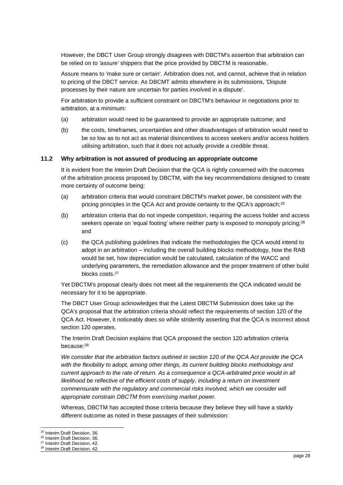However, the DBCT User Group strongly disagrees with DBCTM's assertion that arbitration can be relied on to *'assure'* shippers that the price provided by DBCTM is reasonable.

Assure means to 'make sure or certain'. Arbitration does not, and cannot, achieve that in relation to pricing of the DBCT service. As DBCMT admits elsewhere in its submissions, 'Dispute processes by their nature are uncertain for parties involved in a dispute'.

For arbitration to provide a sufficient constraint on DBCTM's behaviour in negotiations prior to arbitration, at a minimum:

- (a) arbitration would need to be guaranteed to provide an appropriate outcome; and
- (b) the costs, timeframes, uncertainties and other disadvantages of arbitration would need to be so low as to not act as material disincentives to access seekers and/or access holders utilising arbitration, such that it does not actually provide a credible threat.

#### <span id="page-27-0"></span>**11.2 Why arbitration is not assured of producing an appropriate outcome**

It is evident from the Interim Draft Decision that the QCA is rightly concerned with the outcomes of the arbitration process proposed by DBCTM, with the key recommendations designed to create more certainty of outcome being:

- (a) arbitration criteria that would constraint DBCTM's market power, be consistent with the pricing principles in the QCA Act and provide certainty to the QCA's approach;<sup>25</sup>
- (b) arbitration criteria that do not impede competition, requiring the access holder and access seekers operate on 'equal footing' where neither party is exposed to monopoly pricing;<sup>26</sup> and
- (c) the QCA publishing guidelines that indicate the methodologies the QCA would intend to adopt in an arbitration – including the overall building blocks methodology, how the RAB would be set, how depreciation would be calculated, calculation of the WACC and underlying parameters, the remediation allowance and the proper treatment of other build blocks costs.<sup>27</sup>

Yet DBCTM's proposal clearly does not meet all the requirements the QCA indicated would be necessary for it to be appropriate.

The DBCT User Group acknowledges that the Latest DBCTM Submission does take up the QCA's proposal that the arbitration criteria should reflect the requirements of section 120 of the QCA Act. However, it noticeably does so while stridently asserting that the QCA is incorrect about section 120 operates.

The Interim Draft Decision explains that QCA proposed the section 120 arbitration criteria because:<sup>28</sup>

*We consider that the arbitration factors outlined in section 120 of the QCA Act provide the QCA*  with the flexibility to adopt, among other things, its current building blocks methodology and *current approach to the rate of return. As a consequence a QCA-arbitrated price would in all* likelihood be reflective of the efficient costs of supply, including a return on investment *commensurate with the regulatory and commercial risks involved, which we consider will appropriate constrain DBCTM from exercising market power.* 

Whereas, DBCTM has accepted those criteria because they believe they will have a starkly different outcome as noted in these passages of their submission:

<sup>25</sup> Interim Draft Decision, 36.

<sup>26</sup> Interim Draft Decision, 36.

<sup>27</sup> Interim Draft Decision, 42.

<sup>28</sup> Interim Draft Decision, 42.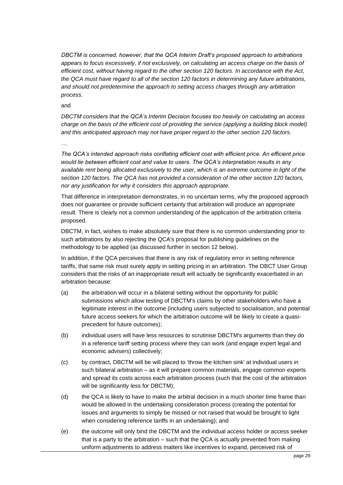*DBCTM is concerned, however, that the QCA Interim Draft's proposed approach to arbitrations appears to focus excessively, if not exclusively, on calculating an access charge on the basis of efficient cost, without having regard to the other section 120 factors. In accordance with the Act, the QCA must have regard to all of the section 120 factors in determining any future arbitrations, and should not predetermine the approach to setting access charges through any arbitration process.* 

and

*DBCTM considers that the QCA's Interim Decision focuses too heavily on calculating an access charge on the basis of the efficient cost of providing the service (applying a building block model) and this anticipated approach may not have proper regard to the other section 120 factors.* 

*…*

*The QCA's intended approach risks conflating efficient cost with efficient price. An efficient price would lie between efficient cost and value to users. The QCA's interpretation results in any available rent being allocated exclusively to the user, which is an extreme outcome in light of the section 120 factors. The QCA has not provided a consideration of the other section 120 factors, nor any justification for why it considers this approach appropriate.*

That difference in interpretation demonstrates, in no uncertain terms, why the proposed approach does not guarantee or provide sufficient certainty that arbitration will produce an appropriate result. There is clearly not a common understanding of the application of the arbitration criteria proposed.

DBCTM, in fact, wishes to make absolutely sure that there is no common understanding prior to such arbitrations by also rejecting the QCA's proposal for publishing guidelines on the methodology to be applied (as discussed further in section [12](#page-30-1) below).

In addition, if the QCA perceives that there is any risk of regulatory error in setting reference tariffs, that same risk must surely apply in setting pricing in an arbitration. The DBCT User Group considers that the risks of an inappropriate result will actually be significantly exacerbated in an arbitration because:

- (a) the arbitration will occur in a bilateral setting without the opportunity for public submissions which allow testing of DBCTM's claims by other stakeholders who have a legitimate interest in the outcome (including users subjected to socialisation, and potential future access seekers for which the arbitration outcome will be likely to create a quasiprecedent for future outcomes);
- (b) individual users will have less resources to scrutinise DBCTM's arguments than they do in a reference tariff setting process where they can work (and engage expert legal and economic advisers) collectively;
- (c) by contract, DBCTM will be will placed to 'throw the kitchen sink' at individual users in such bilateral arbitration – as it will prepare common materials, engage common experts and spread its costs across each arbitration process (such that the cost of the arbitration will be significantly less for DBCTM);
- (d) the QCA is likely to have to make the arbitral decision in a much shorter time frame than would be allowed in the undertaking consideration process (creating the potential for issues and arguments to simply be missed or not raised that would be brought to light when considering reference tariffs in an undertaking); and
- (e) the outcome will only bind the DBCTM and the individual access holder or access seeker that is a party to the arbitration – such that the QCA is actually prevented from making uniform adjustments to address matters like incentives to expand, perceived risk of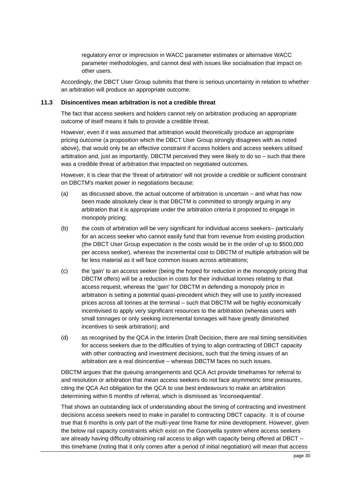regulatory error or imprecision in WACC parameter estimates or alternative WACC parameter methodologies, and cannot deal with issues like socialisation that impact on other users.

Accordingly, the DBCT User Group submits that there is serious uncertainty in relation to whether an arbitration will produce an appropriate outcome.

#### <span id="page-29-0"></span>**11.3 Disincentives mean arbitration is not a credible threat**

The fact that access seekers and holders cannot rely on arbitration producing an appropriate outcome of itself means it fails to provide a credible threat.

However, even if it was assumed that arbitration would theoretically produce an appropriate pricing outcome (a proposition which the DBCT User Group strongly disagrees with as noted above), that would only be an effective constraint if access holders and access seekers utilised arbitration and, just as importantly, DBCTM perceived they were likely to do so – such that there was a credible threat of arbitration that impacted on negotiated outcomes.

However, it is clear that the 'threat of arbitration' will not provide a credible or sufficient constraint on DBCTM's market power in negotiations because:

- (a) as discussed above, the actual outcome of arbitration is uncertain and what has now been made absolutely clear is that DBCTM is committed to strongly arguing in any arbitration that it is appropriate under the arbitration criteria it proposed to engage in monopoly pricing;
- (b) the costs of arbitration will be very significant for individual access seekers– particularly for an access seeker who cannot easily fund that from revenue from existing production (the DBCT User Group expectation is the costs would be in the order of up to \$500,000 per access seeker), whereas the incremental cost to DBCTM of multiple arbitration will be far less material as it will face common issues across arbitrations;
- (c) the 'gain' to an access seeker (being the hoped for reduction in the monopoly pricing that DBCTM offers) will be a reduction in costs for their individual tonnes relating to that access request, whereas the 'gain' for DBCTM in defending a monopoly price in arbitration is setting a potential quasi-precedent which they will use to justify increased prices across all tonnes at the terminal – such that DBCTM will be highly economically incentivised to apply very significant resources to the arbitration (whereas users with small tonnages or only seeking incremental tonnages will have greatly diminished incentives to seek arbitration); and
- (d) as recognised by the QCA in the Interim Draft Decision, there are real timing sensitivities for access seekers due to the difficulties of trying to align contracting of DBCT capacity with other contracting and investment decisions, such that the timing issues of an arbitration are a real disincentive – whereas DBCTM faces no such issues.

DBCTM argues that the queuing arrangements and QCA Act provide timeframes for referral to and resolution or arbitration that mean access seekers do not face asymmetric time pressures, citing the QCA Act obligation for the QCA to use best endeavours to make an arbitration determining within 6 months of referral, which is dismissed as 'inconsequential'.

That shows an outstanding lack of understanding about the timing of contracting and investment decisions access seekers need to make in parallel to contracting DBCT capacity. It is of course true that 6 months is only part of the multi-year time frame for mine development. However, given the below rail capacity constraints which exist on the Goonyella system where access seekers are already having difficulty obtaining rail access to align with capacity being offered at DBCT this timeframe (noting that it only comes after a period of initial negotiation) will mean that access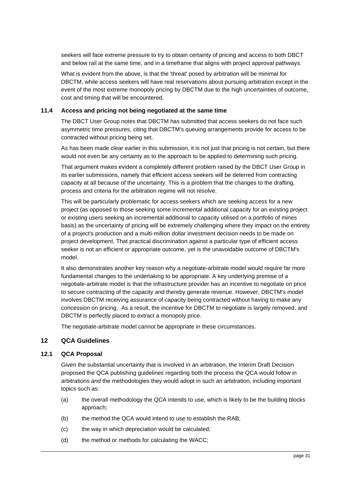seekers will face extreme pressure to try to obtain certainty of pricing and access to both DBCT and below rail at the same time, and in a timeframe that aligns with project approval pathways.

What is evident from the above, is that the 'threat' posed by arbitration will be minimal for DBCTM, while access seekers will have real reservations about pursuing arbitration except in the event of the most extreme monopoly pricing by DBCTM due to the high uncertainties of outcome, cost and timing that will be encountered.

#### <span id="page-30-0"></span>**11.4 Access and pricing not being negotiated at the same time**

The DBCT User Group notes that DBCTM has submitted that access seekers do not face such asymmetric time pressures, citing that DBCTM's queuing arrangements provide for access to be contracted without pricing being set.

As has been made clear earlier in this submission, it is not just that pricing is not certain, but there would not even be any certainty as to the approach to be applied to determining such pricing.

That argument makes evident a completely different problem raised by the DBCT User Group in its earlier submissions, namely that efficient access seekers will be deterred from contracting capacity at all because of the uncertainty. This is a problem that the changes to the drafting, process and criteria for the arbitration regime will not resolve.

This will be particularly problematic for access seekers which are seeking access for a new project (as opposed to those seeking some incremental additional capacity for an existing project or existing users seeking an incremental additional to capacity utilised on a portfolio of mines basis) as the uncertainty of pricing will be extremely challenging where they impact on the entirety of a project's production and a multi-million dollar investment decision needs to be made on project development. That practical discrimination against a particular type of efficient access seeker is not an efficient or appropriate outcome, yet is the unavoidable outcome of DBCTM's model.

It also demonstrates another key reason why a negotiate-arbitrate model would require far more fundamental changes to the undertaking to be appropriate. A key underlying premise of a negotiate-arbitrate model is that the infrastructure provider has an incentive to negotiate on price to secure contracting of the capacity and thereby generate revenue. However, DBCTM's model involves DBCTM receiving assurance of capacity being contracted without having to make any concession on pricing. As a result, the incentive for DBCTM to negotiate is largely removed, and DBCTM is perfectly placed to extract a monopoly price.

The negotiate-arbitrate model cannot be appropriate in these circumstances.

## <span id="page-30-1"></span>**12 QCA Guidelines**

#### <span id="page-30-2"></span>**12.1 QCA Proposal**

Given the substantial uncertainty that is involved in an arbitration, the Interim Draft Decision proposed the QCA publishing guidelines regarding both the process the QCA would follow in arbitrations *and* the methodologies they would adopt in such an arbitration, including important topics such as:

- (a) the overall methodology the QCA intends to use, which is likely to be the building blocks approach;
- (b) the method the QCA would intend to use to establish the RAB;
- (c) the way in which depreciation would be calculated;
- (d) the method or methods for calculating the WACC;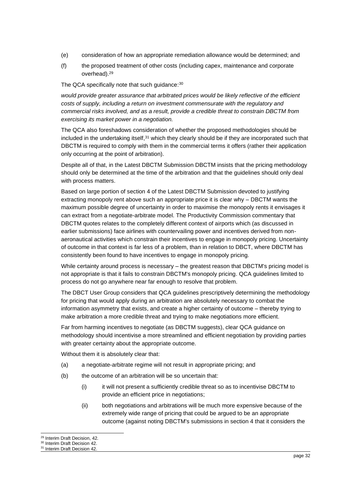- (e) consideration of how an appropriate remediation allowance would be determined; and
- (f) the proposed treatment of other costs (including capex, maintenance and corporate overhead).<sup>29</sup>

The QCA specifically note that such guidance: 30

*would provide greater assurance that arbitrated prices would be likely reflective of the efficient costs of supply, including a return on investment commensurate with the regulatory and commercial risks involved, and as a result, provide a credible threat to constrain DBCTM from exercising its market power in a negotiation.*

The QCA also foreshadows consideration of whether the proposed methodologies should be included in the undertaking itself,<sup>31</sup> which they clearly should be if they are incorporated such that DBCTM is required to comply with them in the commercial terms it offers (rather their application only occurring at the point of arbitration).

Despite all of that, in the Latest DBCTM Submission DBCTM insists that the pricing methodology should only be determined at the time of the arbitration and that the guidelines should only deal with process matters.

Based on large portion of section 4 of the Latest DBCTM Submission devoted to justifying extracting monopoly rent above such an appropriate price it is clear why – DBCTM wants the maximum possible degree of uncertainty in order to maximise the monopoly rents it envisages it can extract from a negotiate-arbitrate model. The Productivity Commission commentary that DBCTM quotes relates to the completely different context of airports which (as discussed in earlier submissions) face airlines with countervailing power and incentives derived from nonaeronautical activities which constrain their incentives to engage in monopoly pricing. Uncertainty of outcome in that context is far less of a problem, than in relation to DBCT, where DBCTM has consistently been found to have incentives to engage in monopoly pricing.

While certainty around process is necessary – the greatest reason that DBCTM's pricing model is not appropriate is that it fails to constrain DBCTM's monopoly pricing. QCA guidelines limited to process do not go anywhere near far enough to resolve that problem.

The DBCT User Group considers that QCA guidelines prescriptively determining the methodology for pricing that would apply during an arbitration are absolutely necessary to combat the information asymmetry that exists, and create a higher certainty of outcome – thereby trying to make arbitration a more credible threat and trying to make negotiations more efficient.

Far from harming incentives to negotiate (as DBCTM suggests), clear QCA guidance on methodology should incentivise a more streamlined and efficient negotiation by providing parties with greater certainty about the appropriate outcome.

Without them it is absolutely clear that:

- (a) a negotiate-arbitrate regime will not result in appropriate pricing; and
- (b) the outcome of an arbitration will be so uncertain that:
	- (i) it will not present a sufficiently credible threat so as to incentivise DBCTM to provide an efficient price in negotiations;
	- (ii) both negotiations and arbitrations will be much more expensive because of the extremely wide range of pricing that could be argued to be an appropriate outcome (against noting DBCTM's submissions in section 4 that it considers the

<sup>29</sup> Interim Draft Decision, 42.

<sup>&</sup>lt;sup>30</sup> Interim Draft Decision 42.

<sup>31</sup> Interim Draft Decision 42.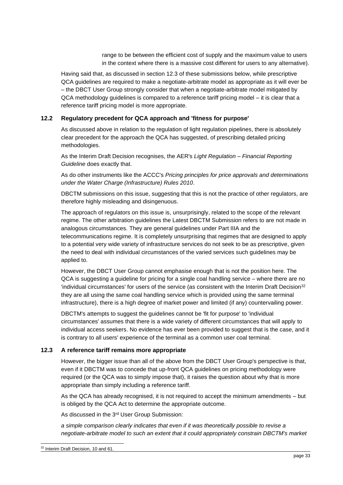range to be between the efficient cost of supply and the maximum value to users in the context where there is a massive cost different for users to any alternative).

Having said that, as discussed in section [12.3](#page-32-1) of these submissions below, while prescriptive QCA guidelines are required to make a negotiate-arbitrate model as appropriate as it will ever be – the DBCT User Group strongly consider that when a negotiate-arbitrate model mitigated by QCA methodology guidelines is compared to a reference tariff pricing model – it is clear that a reference tariff pricing model is more appropriate.

## <span id="page-32-0"></span>**12.2 Regulatory precedent for QCA approach and 'fitness for purpose'**

As discussed above in relation to the regulation of light regulation pipelines, there is absolutely clear precedent for the approach the QCA has suggested, of prescribing detailed pricing methodologies.

As the Interim Draft Decision recognises, the AER's *Light Regulation – Financial Reporting Guideline* does exactly that.

As do other instruments like the ACCC's *Pricing principles for price approvals and determinations under the Water Charge (Infrastructure) Rules 2010*.

DBCTM submissions on this issue, suggesting that this is not the practice of other regulators, are therefore highly misleading and disingenuous.

The approach of regulators on this issue is, unsurprisingly, related to the scope of the relevant regime. The other arbitration guidelines the Latest DBCTM Submission refers to are not made in analogous circumstances. They are general guidelines under Part IIIA and the telecommunications regime. It is completely unsurprising that regimes that are designed to apply to a potential very wide variety of infrastructure services do not seek to be as prescriptive, given the need to deal with individual circumstances of the varied services such guidelines may be applied to.

However, the DBCT User Group cannot emphasise enough that is not the position here. The QCA is suggesting a guideline for pricing for a single coal handling service – where there are no 'individual circumstances' for users of the service (as consistent with the Interim Draft Decision<sup>32</sup> they are all using the same coal handling service which is provided using the same terminal infrastructure), there is a high degree of market power and limited (if any) countervailing power.

DBCTM's attempts to suggest the guidelines cannot be 'fit for purpose' to 'individual circumstances' assumes that there is a wide variety of different circumstances that will apply to individual access seekers. No evidence has ever been provided to suggest that is the case, and it is contrary to all users' experience of the terminal as a common user coal terminal.

#### <span id="page-32-1"></span>**12.3 A reference tariff remains more appropriate**

However, the bigger issue than all of the above from the DBCT User Group's perspective is that, even if it DBCTM was to concede that up-front QCA guidelines on pricing methodology were required (or the QCA was to simply impose that), it raises the question about why that is more appropriate than simply including a reference tariff.

As the QCA has already recognised, it is not required to accept the minimum amendments – but is obliged by the QCA Act to determine the appropriate outcome.

As discussed in the 3rd User Group Submission:

*a simple comparison clearly indicates that even if it was theoretically possible to revise a negotiate-arbitrate model to such an extent that it could appropriately constrain DBCTM's market*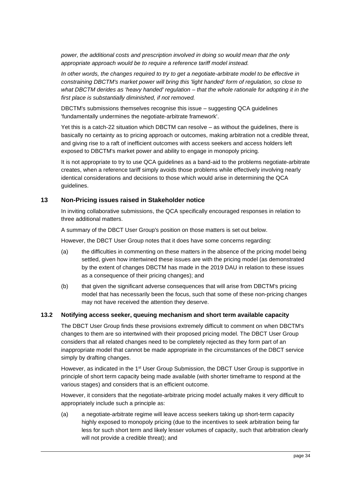*power, the additional costs and prescription involved in doing so would mean that the only appropriate approach would be to require a reference tariff model instead.*

*In other words, the changes required to try to get a negotiate-arbitrate model to be effective in constraining DBCTM's market power will bring this 'light handed' form of regulation, so close to what DBCTM derides as 'heavy handed' regulation – that the whole rationale for adopting it in the first place is substantially diminished, if not removed.*

DBCTM's submissions themselves recognise this issue – suggesting QCA guidelines 'fundamentally undermines the negotiate-arbitrate framework'.

Yet this is a catch-22 situation which DBCTM can resolve – as without the guidelines, there is basically no certainty as to pricing approach or outcomes, making arbitration not a credible threat, and giving rise to a raft of inefficient outcomes with access seekers and access holders left exposed to DBCTM's market power and ability to engage in monopoly pricing.

It is not appropriate to try to use QCA guidelines as a band-aid to the problems negotiate-arbitrate creates, when a reference tariff simply avoids those problems while effectively involving nearly identical considerations and decisions to those which would arise in determining the QCA guidelines.

## <span id="page-33-0"></span>**13 Non-Pricing issues raised in Stakeholder notice**

In inviting collaborative submissions, the QCA specifically encouraged responses in relation to three additional matters.

A summary of the DBCT User Group's position on those matters is set out below.

However, the DBCT User Group notes that it does have some concerns regarding:

- (a) the difficulties in commenting on these matters in the absence of the pricing model being settled, given how intertwined these issues are with the pricing model (as demonstrated by the extent of changes DBCTM has made in the 2019 DAU in relation to these issues as a consequence of their pricing changes); and
- (b) that given the significant adverse consequences that will arise from DBCTM's pricing model that has necessarily been the focus, such that some of these non-pricing changes may not have received the attention they deserve.

## <span id="page-33-1"></span>**13.2 Notifying access seeker, queuing mechanism and short term available capacity**

The DBCT User Group finds these provisions extremely difficult to comment on when DBCTM's changes to them are so intertwined with their proposed pricing model. The DBCT User Group considers that all related changes need to be completely rejected as they form part of an inappropriate model that cannot be made appropriate in the circumstances of the DBCT service simply by drafting changes.

However, as indicated in the 1<sup>st</sup> User Group Submission, the DBCT User Group is supportive in principle of short term capacity being made available (with shorter timeframe to respond at the various stages) and considers that is an efficient outcome.

However, it considers that the negotiate-arbitrate pricing model actually makes it very difficult to appropriately include such a principle as:

(a) a negotiate-arbitrate regime will leave access seekers taking up short-term capacity highly exposed to monopoly pricing (due to the incentives to seek arbitration being far less for such short term and likely lesser volumes of capacity, such that arbitration clearly will not provide a credible threat); and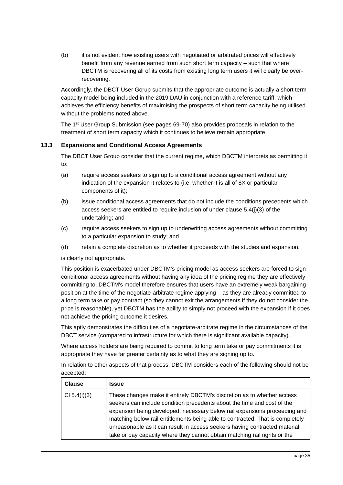(b) it is not evident how existing users with negotiated or arbitrated prices will effectively benefit from any revenue earned from such short term capacity – such that where DBCTM is recovering all of its costs from existing long term users it will clearly be overrecovering.

Accordingly, the DBCT User Gorup submits that the appropriate outcome is actually a short term capacity model being included in the 2019 DAU in conjunction with a reference tariff, which achieves the efficiency benefits of maximising the prospects of short term capacity being utilised without the problems noted above.

The 1st User Group Submission (see pages 69-70) also provides proposals in relation to the treatment of short term capacity which it continues to believe remain appropriate.

## <span id="page-34-0"></span>**13.3 Expansions and Conditional Access Agreements**

The DBCT User Group consider that the current regime, which DBCTM interprets as permitting it to:

- (a) require access seekers to sign up to a conditional access agreement without any indication of the expansion it relates to (i.e. whether it is all of 8X or particular components of it);
- (b) issue conditional access agreements that do not include the conditions precedents which access seekers are entitled to require inclusion of under clause 5.4(j)(3) of the undertaking; and
- (c) require access seekers to sign up to underwriting access agreements without committing to a particular expansion to study; and
- (d) retain a complete discretion as to whether it proceeds with the studies and expansion,

is clearly not appropriate.

This position is exacerbated under DBCTM's pricing model as access seekers are forced to sign conditional access agreements without having any idea of the pricing regime they are effectively committing to. DBCTM's model therefore ensures that users have an extremely weak bargaining position at the time of the negotiate-arbitrate regime applying – as they are already committed to a long term take or pay contract (so they cannot exit the arrangements if they do not consider the price is reasonable), yet DBCTM has the ability to simply not proceed with the expansion if it does not achieve the pricing outcome it desires.

This aptly demonstrates the difficulties of a negotiate-arbitrate regime in the circumstances of the DBCT service (compared to infrastructure for which there is significant available capacity).

Where access holders are being required to commit to long term take or pay commitments it is appropriate they have far greater certainty as to what they are signing up to.

In relation to other aspects of that process, DBCTM considers each of the following should not be accepted:

| <b>Clause</b> | <b>Issue</b>                                                                                                                                                                                                                                                                                                                                                                                                                                                               |
|---------------|----------------------------------------------------------------------------------------------------------------------------------------------------------------------------------------------------------------------------------------------------------------------------------------------------------------------------------------------------------------------------------------------------------------------------------------------------------------------------|
| CI 5.4(I)(3)  | These changes make it entirely DBCTM's discretion as to whether access<br>seekers can include condition precedents about the time and cost of the<br>expansion being developed, necessary below rail expansions proceeding and<br>matching below rail entitlements being able to contracted. That is completely<br>unreasonable as it can result in access seekers having contracted material<br>take or pay capacity where they cannot obtain matching rail rights or the |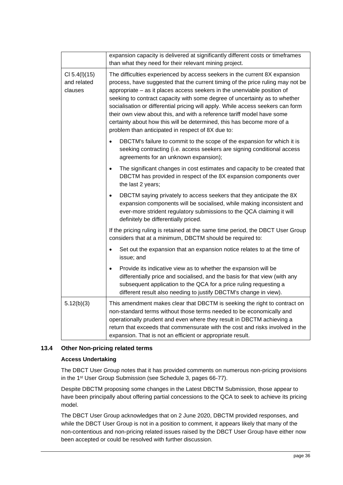|                                         | expansion capacity is delivered at significantly different costs or timeframes<br>than what they need for their relevant mining project.                                                                                                                                                                                                                                                                                                                                                                                                                                                                          |
|-----------------------------------------|-------------------------------------------------------------------------------------------------------------------------------------------------------------------------------------------------------------------------------------------------------------------------------------------------------------------------------------------------------------------------------------------------------------------------------------------------------------------------------------------------------------------------------------------------------------------------------------------------------------------|
| CI 5.4(I)(15)<br>and related<br>clauses | The difficulties experienced by access seekers in the current 8X expansion<br>process, have suggested that the current timing of the price ruling may not be<br>appropriate - as it places access seekers in the unenviable position of<br>seeking to contract capacity with some degree of uncertainty as to whether<br>socialisation or differential pricing will apply. While access seekers can form<br>their own view about this, and with a reference tariff model have some<br>certainty about how this will be determined, this has become more of a<br>problem than anticipated in respect of 8X due to: |
|                                         | DBCTM's failure to commit to the scope of the expansion for which it is<br>seeking contracting (i.e. access seekers are signing conditional access<br>agreements for an unknown expansion);                                                                                                                                                                                                                                                                                                                                                                                                                       |
|                                         | The significant changes in cost estimates and capacity to be created that<br>$\bullet$<br>DBCTM has provided in respect of the 8X expansion components over<br>the last 2 years;                                                                                                                                                                                                                                                                                                                                                                                                                                  |
|                                         | DBCTM saying privately to access seekers that they anticipate the 8X<br>$\bullet$<br>expansion components will be socialised, while making inconsistent and<br>ever-more strident regulatory submissions to the QCA claiming it will<br>definitely be differentially priced.                                                                                                                                                                                                                                                                                                                                      |
|                                         | If the pricing ruling is retained at the same time period, the DBCT User Group<br>considers that at a minimum, DBCTM should be required to:                                                                                                                                                                                                                                                                                                                                                                                                                                                                       |
|                                         | Set out the expansion that an expansion notice relates to at the time of<br>issue; and                                                                                                                                                                                                                                                                                                                                                                                                                                                                                                                            |
|                                         | Provide its indicative view as to whether the expansion will be<br>$\bullet$<br>differentially price and socialised, and the basis for that view (with any<br>subsequent application to the QCA for a price ruling requesting a<br>different result also needing to justify DBCTM's change in view).                                                                                                                                                                                                                                                                                                              |
| 5.12(b)(3)                              | This amendment makes clear that DBCTM is seeking the right to contract on<br>non-standard terms without those terms needed to be economically and<br>operationally prudent and even where they result in DBCTM achieving a<br>return that exceeds that commensurate with the cost and risks involved in the<br>expansion. That is not an efficient or appropriate result.                                                                                                                                                                                                                                         |

## <span id="page-35-0"></span>**13.4 Other Non-pricing related terms**

## **Access Undertaking**

The DBCT User Group notes that it has provided comments on numerous non-pricing provisions in the 1st User Group Submission (see Schedule 3, pages 66-77).

Despite DBCTM proposing some changes in the Latest DBCTM Submission, those appear to have been principally about offering partial concessions to the QCA to seek to achieve its pricing model.

The DBCT User Group acknowledges that on 2 June 2020, DBCTM provided responses, and while the DBCT User Group is not in a position to comment, it appears likely that many of the non-contentious and non-pricing related issues raised by the DBCT User Group have either now been accepted or could be resolved with further discussion.